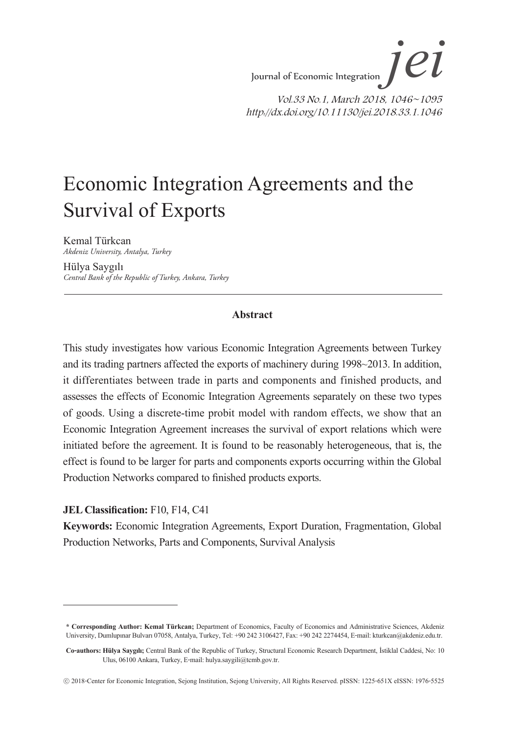Journal of Economic Integration Vol.33 No.1, March 2018, 1046~1095 http://dx.doi.org/10.11130/jei.2018.33.1.1046 *jei*

# Economic Integration Agreements and the Survival of Exports

Kemal Türkcan *Akdeniz University, Antalya, Turkey*

Hülya Saygılı *Central Bank of the Republic of Turkey, Ankara, Turkey*

#### **Abstract**

This study investigates how various Economic Integration Agreements between Turkey and its trading partners affected the exports of machinery during 1998~2013. In addition, it differentiates between trade in parts and components and finished products, and assesses the effects of Economic Integration Agreements separately on these two types of goods. Using a discrete-time probit model with random effects, we show that an Economic Integration Agreement increases the survival of export relations which were initiated before the agreement. It is found to be reasonably heterogeneous, that is, the effect is found to be larger for parts and components exports occurring within the Global Production Networks compared to finished products exports.

#### **JEL Classification:** F10, F14, C41

**Keywords:** Economic Integration Agreements, Export Duration, Fragmentation, Global Production Networks, Parts and Components, Survival Analysis

**<sup>\*</sup> Corresponding Author: Kemal Türkcan;** Department of Economics, Faculty of Economics and Administrative Sciences, Akdeniz University, Dumlupınar Bulvarı 07058, Antalya, Turkey, Tel: +90 242 3106427, Fax: +90 242 2274454, E-mail: kturkcan@akdeniz.edu.tr.

**Co-authors: Hülya Saygılı;** Central Bank of the Republic of Turkey, Structural Economic Research Department, İstiklal Caddesi, No: 10 Ulus, 06100 Ankara, Turkey, E-mail: hulya.saygili@tcmb.gov.tr.

<sup>ⓒ</sup> 2018-Center for Economic Integration, Sejong Institution, Sejong University, All Rights Reserved. pISSN: 1225-651X eISSN: 1976-5525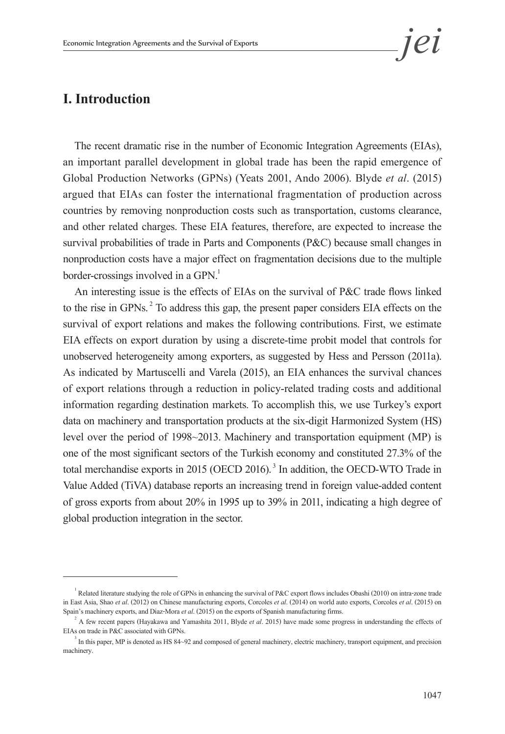## **I. Introduction**

The recent dramatic rise in the number of Economic Integration Agreements (EIAs), an important parallel development in global trade has been the rapid emergence of Global Production Networks (GPNs) (Yeats 2001, Ando 2006). Blyde *et al*. (2015) argued that EIAs can foster the international fragmentation of production across countries by removing nonproduction costs such as transportation, customs clearance, and other related charges. These EIA features, therefore, are expected to increase the survival probabilities of trade in Parts and Components (P&C) because small changes in nonproduction costs have a major effect on fragmentation decisions due to the multiple border-crossings involved in a GPN.<sup>1</sup>

An interesting issue is the effects of EIAs on the survival of P&C trade flows linked to the rise in GPNs.<sup>2</sup> To address this gap, the present paper considers EIA effects on the survival of export relations and makes the following contributions. First, we estimate EIA effects on export duration by using a discrete-time probit model that controls for unobserved heterogeneity among exporters, as suggested by Hess and Persson (2011a). As indicated by Martuscelli and Varela (2015), an EIA enhances the survival chances of export relations through a reduction in policy-related trading costs and additional information regarding destination markets. To accomplish this, we use Turkey's export data on machinery and transportation products at the six-digit Harmonized System (HS) level over the period of 1998~2013. Machinery and transportation equipment (MP) is one of the most significant sectors of the Turkish economy and constituted 27.3% of the total merchandise exports in 2015 (OECD 2016). 3 In addition, the OECD-WTO Trade in Value Added (TiVA) database reports an increasing trend in foreign value-added content of gross exports from about 20% in 1995 up to 39% in 2011, indicating a high degree of global production integration in the sector.

<sup>&</sup>lt;sup>1</sup> Related literature studying the role of GPNs in enhancing the survival of P&C export flows includes Obashi (2010) on intra-zone trade in East Asia, Shao *et al*. (2012) on Chinese manufacturing exports, Corcoles *et al*. (2014) on world auto exports, Corcoles *et al*. (2015) on Spain's machinery exports, and Diaz-Mora *et al*. (2015) on the exports of Spanish manufacturing firms. <sup>2</sup>

A few recent papers (Hayakawa and Yamashita 2011, Blyde *et al*. 2015) have made some progress in understanding the effects of EIAs on trade in P&C associated with GPNs.

 $\mu$ <sup>3</sup> In this paper, MP is denoted as HS 84~92 and composed of general machinery, electric machinery, transport equipment, and precision machinery.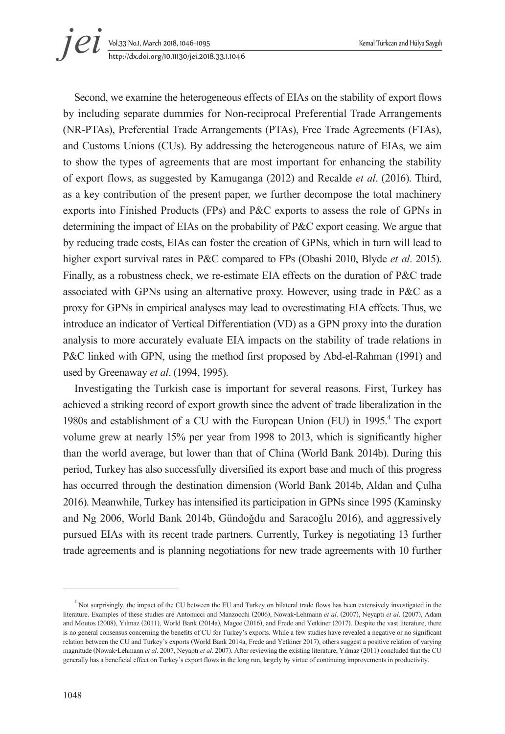# Vol.33 No.1, March 2018, 1046~1095 Kemal Türkcan and Hülya Saygılı http://dx.doi.org/10.11130/jei.2018.33.1.1046 *jei*

Second, we examine the heterogeneous effects of EIAs on the stability of export flows by including separate dummies for Non-reciprocal Preferential Trade Arrangements (NR-PTAs), Preferential Trade Arrangements (PTAs), Free Trade Agreements (FTAs), and Customs Unions (CUs). By addressing the heterogeneous nature of EIAs, we aim to show the types of agreements that are most important for enhancing the stability of export flows, as suggested by Kamuganga (2012) and Recalde *et al*. (2016). Third, as a key contribution of the present paper, we further decompose the total machinery exports into Finished Products (FPs) and P&C exports to assess the role of GPNs in determining the impact of EIAs on the probability of P&C export ceasing. We argue that by reducing trade costs, EIAs can foster the creation of GPNs, which in turn will lead to higher export survival rates in P&C compared to FPs (Obashi 2010, Blyde *et al*. 2015). Finally, as a robustness check, we re-estimate EIA effects on the duration of P&C trade associated with GPNs using an alternative proxy. However, using trade in P&C as a proxy for GPNs in empirical analyses may lead to overestimating EIA effects. Thus, we introduce an indicator of Vertical Differentiation (VD) as a GPN proxy into the duration analysis to more accurately evaluate EIA impacts on the stability of trade relations in P&C linked with GPN, using the method first proposed by Abd-el-Rahman (1991) and used by Greenaway *et al*. (1994, 1995).

Investigating the Turkish case is important for several reasons. First, Turkey has achieved a striking record of export growth since the advent of trade liberalization in the 1980s and establishment of a CU with the European Union (EU) in 1995.<sup>4</sup> The export volume grew at nearly 15% per year from 1998 to 2013, which is significantly higher than the world average, but lower than that of China (World Bank 2014b). During this period, Turkey has also successfully diversified its export base and much of this progress has occurred through the destination dimension (World Bank 2014b, Aldan and Çulha 2016). Meanwhile, Turkey has intensified its participation in GPNs since 1995 (Kaminsky and Ng 2006, World Bank 2014b, Gündoğdu and Saracoğlu 2016), and aggressively pursued EIAs with its recent trade partners. Currently, Turkey is negotiating 13 further trade agreements and is planning negotiations for new trade agreements with 10 further

<sup>4</sup> Not surprisingly, the impact of the CU between the EU and Turkey on bilateral trade flows has been extensively investigated in the literature. Examples of these studies are Antonucci and Manzocchi (2006), Nowak-Lehmann *et al*. (2007), Neyaptı *et al*. (2007), Adam and Moutos (2008), Yılmaz (2011), World Bank (2014a), Magee (2016), and Frede and Yetkiner (2017). Despite the vast literature, there is no general consensus concerning the benefits of CU for Turkey's exports. While a few studies have revealed a negative or no significant relation between the CU and Turkey's exports (World Bank 2014a, Frede and Yetkiner 2017), others suggest a positive relation of varying magnitude (Nowak-Lehmann *et al*. 2007, Neyaptı *et al*. 2007). After reviewing the existing literature, Yılmaz (2011) concluded that the CU generally has a beneficial effect on Turkey's export flows in the long run, largely by virtue of continuing improvements in productivity.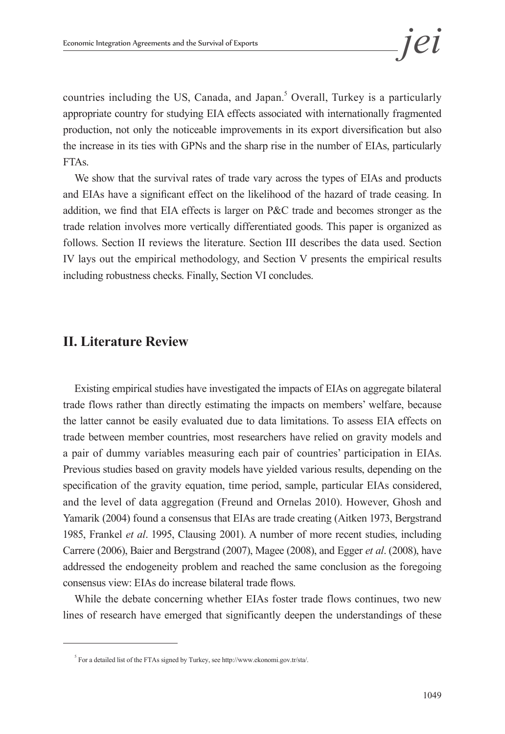countries including the US, Canada, and Japan.<sup>5</sup> Overall, Turkey is a particularly appropriate country for studying EIA effects associated with internationally fragmented production, not only the noticeable improvements in its export diversification but also the increase in its ties with GPNs and the sharp rise in the number of EIAs, particularly FTAs.

We show that the survival rates of trade vary across the types of EIAs and products and EIAs have a significant effect on the likelihood of the hazard of trade ceasing. In addition, we find that EIA effects is larger on P&C trade and becomes stronger as the trade relation involves more vertically differentiated goods. This paper is organized as follows. Section II reviews the literature. Section III describes the data used. Section IV lays out the empirical methodology, and Section V presents the empirical results including robustness checks. Finally, Section VI concludes.

# **II. Literature Review**

Existing empirical studies have investigated the impacts of EIAs on aggregate bilateral trade flows rather than directly estimating the impacts on members' welfare, because the latter cannot be easily evaluated due to data limitations. To assess EIA effects on trade between member countries, most researchers have relied on gravity models and a pair of dummy variables measuring each pair of countries' participation in EIAs. Previous studies based on gravity models have yielded various results, depending on the specification of the gravity equation, time period, sample, particular EIAs considered, and the level of data aggregation (Freund and Ornelas 2010). However, Ghosh and Yamarik (2004) found a consensus that EIAs are trade creating (Aitken 1973, Bergstrand 1985, Frankel *et al*. 1995, Clausing 2001). A number of more recent studies, including Carrere (2006), Baier and Bergstrand (2007), Magee (2008), and Egger *et al*. (2008), have addressed the endogeneity problem and reached the same conclusion as the foregoing consensus view: EIAs do increase bilateral trade flows.

While the debate concerning whether EIAs foster trade flows continues, two new lines of research have emerged that significantly deepen the understandings of these

 $<sup>5</sup>$  For a detailed list of the FTAs signed by Turkey, see http://www.ekonomi.gov.tr/sta/.</sup>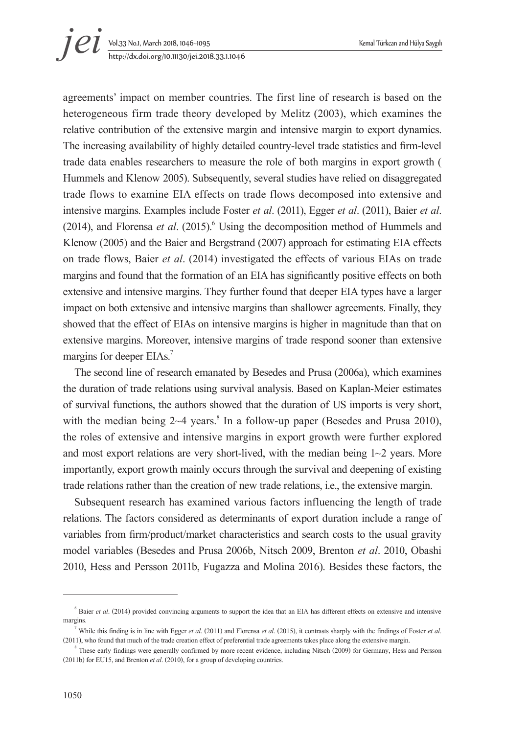agreements' impact on member countries. The first line of research is based on the heterogeneous firm trade theory developed by Melitz (2003), which examines the relative contribution of the extensive margin and intensive margin to export dynamics. The increasing availability of highly detailed country-level trade statistics and firm-level trade data enables researchers to measure the role of both margins in export growth ( Hummels and Klenow 2005). Subsequently, several studies have relied on disaggregated trade flows to examine EIA effects on trade flows decomposed into extensive and intensive margins. Examples include Foster *et al*. (2011), Egger *et al*. (2011), Baier *et al*. (2014), and Florensa et al. (2015).<sup>6</sup> Using the decomposition method of Hummels and Klenow (2005) and the Baier and Bergstrand (2007) approach for estimating EIA effects on trade flows, Baier *et al*. (2014) investigated the effects of various EIAs on trade margins and found that the formation of an EIA has significantly positive effects on both extensive and intensive margins. They further found that deeper EIA types have a larger impact on both extensive and intensive margins than shallower agreements. Finally, they showed that the effect of EIAs on intensive margins is higher in magnitude than that on extensive margins. Moreover, intensive margins of trade respond sooner than extensive margins for deeper EIAs.<sup>7</sup>

The second line of research emanated by Besedes and Prusa (2006a), which examines the duration of trade relations using survival analysis. Based on Kaplan-Meier estimates of survival functions, the authors showed that the duration of US imports is very short, with the median being  $2~4$  years.<sup>8</sup> In a follow-up paper (Besedes and Prusa 2010), the roles of extensive and intensive margins in export growth were further explored and most export relations are very short-lived, with the median being  $1~2$  years. More importantly, export growth mainly occurs through the survival and deepening of existing trade relations rather than the creation of new trade relations, i.e., the extensive margin.

Subsequent research has examined various factors influencing the length of trade relations. The factors considered as determinants of export duration include a range of variables from firm/product/market characteristics and search costs to the usual gravity model variables (Besedes and Prusa 2006b, Nitsch 2009, Brenton *et al*. 2010, Obashi 2010, Hess and Persson 2011b, Fugazza and Molina 2016). Besides these factors, the

 $\delta$  Baier *et al.* (2014) provided convincing arguments to support the idea that an EIA has different effects on extensive and intensive margins.<br> $\frac{7}{100}$  While this finding is in line with Egger *et al.* (2011) and Florensa *et al.* (2015), it contrasts sharply with the findings of Foster *et al.* 

<sup>(2011),</sup> who found that much of the trade creation effect of preferential trade agreements takes place along the extensive margin.

<sup>&</sup>lt;sup>8</sup> These early findings were generally confirmed by more recent evidence, including Nitsch (2009) for Germany, Hess and Persson (2011b) for EU15, and Brenton *et al*. (2010), for a group of developing countries.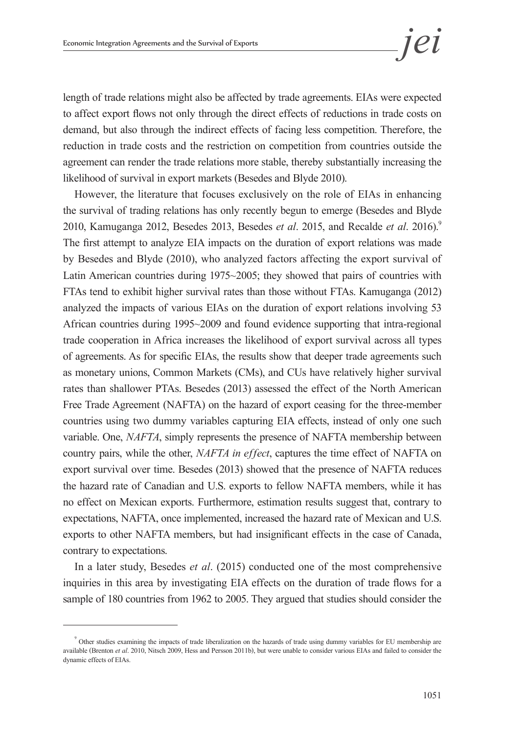length of trade relations might also be affected by trade agreements. EIAs were expected to affect export flows not only through the direct effects of reductions in trade costs on demand, but also through the indirect effects of facing less competition. Therefore, the reduction in trade costs and the restriction on competition from countries outside the agreement can render the trade relations more stable, thereby substantially increasing the likelihood of survival in export markets (Besedes and Blyde 2010).

However, the literature that focuses exclusively on the role of EIAs in enhancing the survival of trading relations has only recently begun to emerge (Besedes and Blyde 2010, Kamuganga 2012, Besedes 2013, Besedes *et al.* 2015, and Recalde *et al.* 2016).<sup>9</sup> The first attempt to analyze EIA impacts on the duration of export relations was made by Besedes and Blyde (2010), who analyzed factors affecting the export survival of Latin American countries during 1975~2005; they showed that pairs of countries with FTAs tend to exhibit higher survival rates than those without FTAs. Kamuganga (2012) analyzed the impacts of various EIAs on the duration of export relations involving 53 African countries during 1995~2009 and found evidence supporting that intra-regional trade cooperation in Africa increases the likelihood of export survival across all types of agreements. As for specific EIAs, the results show that deeper trade agreements such as monetary unions, Common Markets (CMs), and CUs have relatively higher survival rates than shallower PTAs. Besedes (2013) assessed the effect of the North American Free Trade Agreement (NAFTA) on the hazard of export ceasing for the three-member countries using two dummy variables capturing EIA effects, instead of only one such variable. One, *NAFTA*, simply represents the presence of NAFTA membership between country pairs, while the other, *NAFTA in effect*, captures the time effect of NAFTA on export survival over time. Besedes (2013) showed that the presence of NAFTA reduces the hazard rate of Canadian and U.S. exports to fellow NAFTA members, while it has no effect on Mexican exports. Furthermore, estimation results suggest that, contrary to expectations, NAFTA, once implemented, increased the hazard rate of Mexican and U.S. exports to other NAFTA members, but had insignificant effects in the case of Canada, contrary to expectations.

In a later study, Besedes *et al*. (2015) conducted one of the most comprehensive inquiries in this area by investigating EIA effects on the duration of trade flows for a sample of 180 countries from 1962 to 2005. They argued that studies should consider the

<sup>9</sup> Other studies examining the impacts of trade liberalization on the hazards of trade using dummy variables for EU membership are available (Brenton *et al*. 2010, Nitsch 2009, Hess and Persson 2011b), but were unable to consider various EIAs and failed to consider the dynamic effects of EIAs.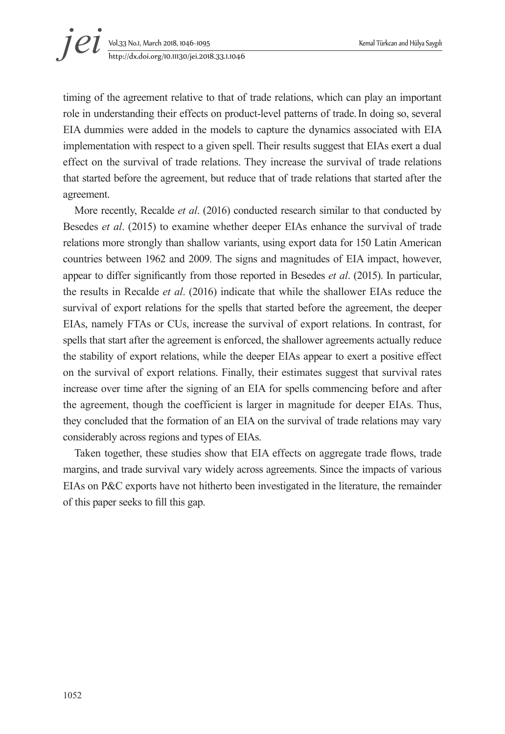timing of the agreement relative to that of trade relations, which can play an important role in understanding their effects on product-level patterns of trade.In doing so, several EIA dummies were added in the models to capture the dynamics associated with EIA implementation with respect to a given spell. Their results suggest that EIAs exert a dual effect on the survival of trade relations. They increase the survival of trade relations that started before the agreement, but reduce that of trade relations that started after the agreement.

More recently, Recalde *et al*. (2016) conducted research similar to that conducted by Besedes *et al*. (2015) to examine whether deeper EIAs enhance the survival of trade relations more strongly than shallow variants, using export data for 150 Latin American countries between 1962 and 2009. The signs and magnitudes of EIA impact, however, appear to differ significantly from those reported in Besedes *et al*. (2015). In particular, the results in Recalde *et al*. (2016) indicate that while the shallower EIAs reduce the survival of export relations for the spells that started before the agreement, the deeper EIAs, namely FTAs or CUs, increase the survival of export relations. In contrast, for spells that start after the agreement is enforced, the shallower agreements actually reduce the stability of export relations, while the deeper EIAs appear to exert a positive effect on the survival of export relations. Finally, their estimates suggest that survival rates increase over time after the signing of an EIA for spells commencing before and after the agreement, though the coefficient is larger in magnitude for deeper EIAs. Thus, they concluded that the formation of an EIA on the survival of trade relations may vary considerably across regions and types of EIAs.

Taken together, these studies show that EIA effects on aggregate trade flows, trade margins, and trade survival vary widely across agreements. Since the impacts of various EIAs on P&C exports have not hitherto been investigated in the literature, the remainder of this paper seeks to fill this gap.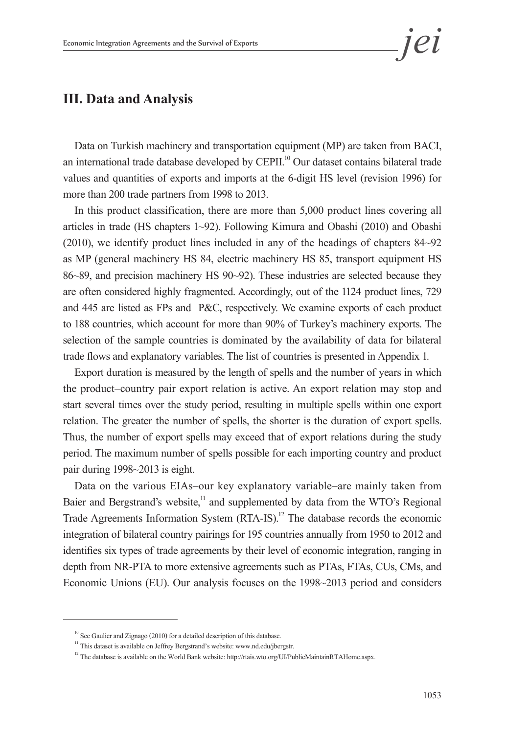

## **III. Data and Analysis**

Data on Turkish machinery and transportation equipment (MP) are taken from BACI, an international trade database developed by CEPII.<sup>10</sup> Our dataset contains bilateral trade values and quantities of exports and imports at the 6-digit HS level (revision 1996) for more than 200 trade partners from 1998 to 2013.

In this product classification, there are more than 5,000 product lines covering all articles in trade (HS chapters 1~92). Following Kimura and Obashi (2010) and Obashi (2010), we identify product lines included in any of the headings of chapters 84~92 as MP (general machinery HS 84, electric machinery HS 85, transport equipment HS 86~89, and precision machinery HS 90~92). These industries are selected because they are often considered highly fragmented. Accordingly, out of the 1124 product lines, 729 and 445 are listed as FPs and P&C, respectively. We examine exports of each product to 188 countries, which account for more than 90% of Turkey's machinery exports. The selection of the sample countries is dominated by the availability of data for bilateral trade flows and explanatory variables. The list of countries is presented in Appendix 1*.*

Export duration is measured by the length of spells and the number of years in which the product–country pair export relation is active. An export relation may stop and start several times over the study period, resulting in multiple spells within one export relation. The greater the number of spells, the shorter is the duration of export spells. Thus, the number of export spells may exceed that of export relations during the study period. The maximum number of spells possible for each importing country and product pair during 1998~2013 is eight.

Data on the various EIAs*–*our key explanatory variable*–*are mainly taken from Baier and Bergstrand's website,<sup>11</sup> and supplemented by data from the WTO's Regional Trade Agreements Information System (RTA-IS).<sup>12</sup> The database records the economic integration of bilateral country pairings for 195 countries annually from 1950 to 2012 and identifies six types of trade agreements by their level of economic integration, ranging in depth from NR-PTA to more extensive agreements such as PTAs, FTAs, CUs, CMs, and Economic Unions (EU). Our analysis focuses on the 1998~2013 period and considers

<sup>&</sup>lt;sup>10</sup> See Gaulier and Zignago (2010) for a detailed description of this database.  $11$  This dataset is available on Jeffrey Bergstrand's website: www.nd.edu/jbergstr.

 $12$  The database is available on the World Bank website: http://rtais.wto.org/UI/PublicMaintainRTAHome.aspx.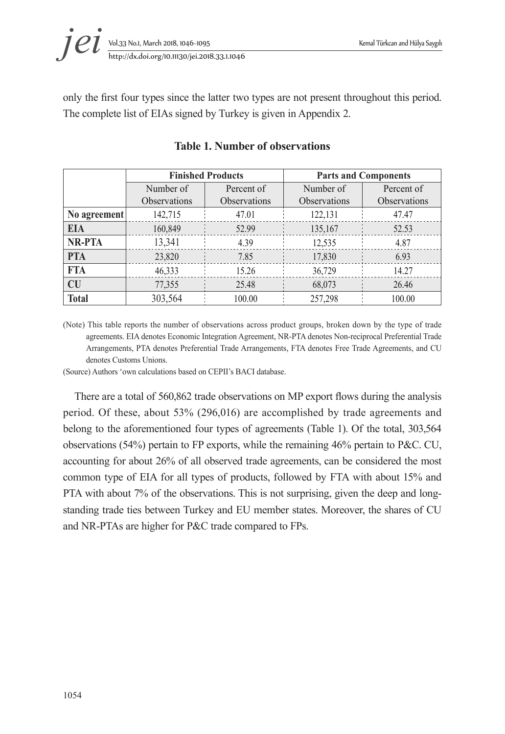

only the first four types since the latter two types are not present throughout this period. The complete list of EIAs signed by Turkey is given in Appendix 2.

|               |              | <b>Finished Products</b> |                     | <b>Parts and Components</b> |
|---------------|--------------|--------------------------|---------------------|-----------------------------|
|               | Number of    | Percent of               | Number of           | Percent of                  |
|               | Observations | Observations             | <b>Observations</b> | Observations                |
| No agreement  | 142,715      | 47.01                    | 122,131             | 47.47                       |
| <b>EIA</b>    | 160,849      | 52.99                    | 135,167             | 52.53                       |
| <b>NR-PTA</b> | 13,341       | 4.39                     | 12,535              | 4.87                        |
| <b>PTA</b>    | 23,820       | 7.85                     | 17,830              | 6.93                        |
| <b>FTA</b>    | 46,333       | 15.26                    | 36,729              | 14.27                       |
| <b>CU</b>     | 77,355       | 25.48                    | 68,073              | 26.46                       |
| <b>Total</b>  | 303,564      | 100.00                   | 257,298             | 100.00                      |

#### **Table 1. Number of observations**

(Note) This table reports the number of observations across product groups, broken down by the type of trade agreements. EIA denotes Economic Integration Agreement, NR-PTA denotes Non-reciprocal Preferential Trade Arrangements, PTA denotes Preferential Trade Arrangements, FTA denotes Free Trade Agreements, and CU denotes Customs Unions.

(Source) Authors 'own calculations based on CEPII's BACI database.

There are a total of 560,862 trade observations on MP export flows during the analysis period. Of these, about 53% (296,016) are accomplished by trade agreements and belong to the aforementioned four types of agreements (Table 1). Of the total, 303,564 observations (54%) pertain to FP exports, while the remaining 46% pertain to P&C. CU, accounting for about 26% of all observed trade agreements, can be considered the most common type of EIA for all types of products, followed by FTA with about 15% and PTA with about 7% of the observations. This is not surprising, given the deep and longstanding trade ties between Turkey and EU member states. Moreover, the shares of CU and NR-PTAs are higher for P&C trade compared to FPs.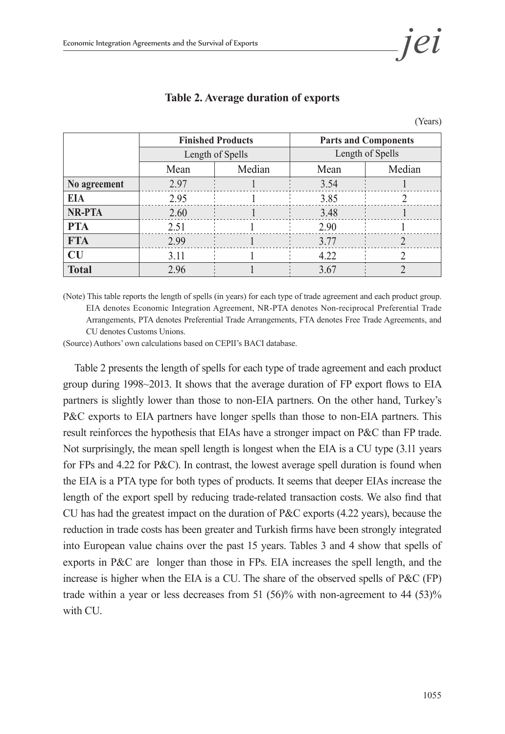

|               |      | <b>Finished Products</b> |      | <b>Parts and Components</b> |
|---------------|------|--------------------------|------|-----------------------------|
|               |      | Length of Spells         |      | Length of Spells            |
|               | Mean | Median                   | Mean | Median                      |
| No agreement  | 2.97 |                          | 3.54 |                             |
| <b>EIA</b>    | 2.95 |                          | 3.85 |                             |
| <b>NR-PTA</b> | 2.60 |                          | 3.48 |                             |
| <b>PTA</b>    | 2.51 |                          | 2.90 |                             |
| <b>FTA</b>    | 2.99 |                          | 3.77 |                             |
| CU            | 3.11 |                          | 4.22 |                             |
| <b>Total</b>  | 2.96 |                          | 3.67 |                             |

#### **Table 2. Average duration of exports**

(Years)

(Note) This table reports the length of spells (in years) for each type of trade agreement and each product group. EIA denotes Economic Integration Agreement, NR-PTA denotes Non-reciprocal Preferential Trade Arrangements, PTA denotes Preferential Trade Arrangements, FTA denotes Free Trade Agreements, and CU denotes Customs Unions.

(Source) Authors' own calculations based on CEPII's BACI database.

Table 2 presents the length of spells for each type of trade agreement and each product group during 1998~2013. It shows that the average duration of FP export flows to EIA partners is slightly lower than those to non-EIA partners. On the other hand, Turkey's P&C exports to EIA partners have longer spells than those to non-EIA partners. This result reinforces the hypothesis that EIAs have a stronger impact on P&C than FP trade. Not surprisingly, the mean spell length is longest when the EIA is a CU type (3.11 years for FPs and 4.22 for P&C). In contrast, the lowest average spell duration is found when the EIA is a PTA type for both types of products. It seems that deeper EIAs increase the length of the export spell by reducing trade-related transaction costs. We also find that CU has had the greatest impact on the duration of P&C exports (4.22 years), because the reduction in trade costs has been greater and Turkish firms have been strongly integrated into European value chains over the past 15 years. Tables 3 and 4 show that spells of exports in P&C are longer than those in FPs. EIA increases the spell length, and the increase is higher when the EIA is a CU. The share of the observed spells of P&C (FP) trade within a year or less decreases from 51 (56)% with non-agreement to 44 (53)% with CU.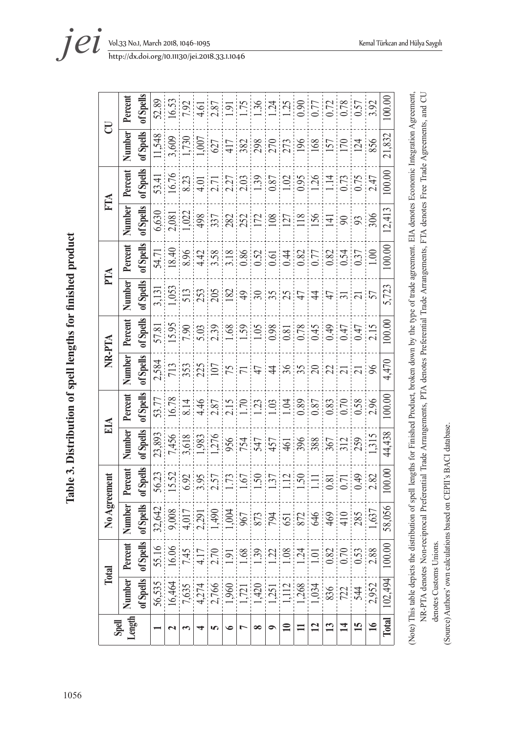| l<br>)<br>ĺ<br>í<br>ı<br>l |  |
|----------------------------|--|
| $\frac{1}{1}$              |  |
|                            |  |
| 1056                       |  |

| Spell           | Total          |                              | No Agreement        |                     |               | EІА                 | NR-PTA            |                                                                                                             | $\mathbb{H}$                                                                                    |           | É                 |                                            | 2                                                            |                   |
|-----------------|----------------|------------------------------|---------------------|---------------------|---------------|---------------------|-------------------|-------------------------------------------------------------------------------------------------------------|-------------------------------------------------------------------------------------------------|-----------|-------------------|--------------------------------------------|--------------------------------------------------------------|-------------------|
| Length          | Number Percent |                              | Number              | Percent             | <b>Number</b> | Percent             | <b>Number</b>     | Percent                                                                                                     | <b>Number</b>                                                                                   | Percent   | <b>Number</b>     | Percent                                    | <b>Number</b>                                                | Percent           |
|                 | of Spells      | of Spells                    | of Spells           | of Spells           | of Spells     | of Spells           | of Spells         | of Spells                                                                                                   | of Spells                                                                                       | of Spells | of Spells         | of Spells                                  | of Spells                                                    | of Spells         |
|                 | 56,535         | 55.16                        | 32,642              | 56.23               | 23,893        | 53.77               | 2,584             | 57.81                                                                                                       | 3,131                                                                                           | 54.71     | 6,630             | 53.41                                      | 11,548                                                       | 52.89             |
|                 | 16,464         | 16.06                        | 9,008               | 15.52               | 7,456         | 16.78               | 713               | 15.95                                                                                                       | 1,053                                                                                           | 18.40     | 2,081             | 16.76                                      | 3,609                                                        | 16.53             |
|                 |                |                              | 4,017               | 6.92                | 3,618         | 8.14                |                   | 7.90                                                                                                        |                                                                                                 | 8.96      |                   | 8.23                                       | 1,730                                                        | 7.92              |
|                 |                |                              | 2,291               | 3.95                | 1,983         | 4.46                |                   | 5.03                                                                                                        |                                                                                                 |           |                   |                                            |                                                              | 4.61              |
| <b>SP</b>       |                | 1417 219 3 3 3 3 4 5 6 7 8 8 |                     | 2.57                | 1,276         |                     | $\frac{353}{225}$ |                                                                                                             | $\frac{25}{25}$ $\frac{25}{25}$ $\frac{25}{25}$ $\frac{25}{25}$ $\frac{25}{25}$ $\frac{25}{25}$ |           | $\frac{122}{498}$ | $\frac{4.01}{2.27}$<br>$\frac{2.27}{2.03}$ | $\frac{1,007}{627}$<br>$\frac{417}{382}$<br>$\frac{89}{270}$ |                   |
|                 |                |                              | $\frac{1,490}{967}$ | 1.73                |               | $\frac{2.87}{2.15}$ |                   | $\begin{array}{c c} 2.39 \\[-4pt] 1.68 \\[-4pt] 1.59 \\[-4pt] 1.05 \\[-4pt] 0.08 \\[-4pt] 0.81 \end{array}$ |                                                                                                 |           |                   |                                            |                                                              | $\frac{1}{9}$     |
|                 |                |                              |                     | 1.67                | 956           |                     | $\overline{7}$    |                                                                                                             |                                                                                                 |           |                   |                                            |                                                              | 1.75              |
| $\infty$        |                |                              |                     |                     | 547           |                     | 47                |                                                                                                             |                                                                                                 |           |                   |                                            |                                                              |                   |
| $\bullet$       |                |                              | $794$<br>$651$      | $\frac{1.50}{1.37}$ | 457           | $\frac{23}{10}$     | 48                |                                                                                                             |                                                                                                 |           |                   | $\frac{0.87}{1.02}$                        |                                                              | $\frac{136}{124}$ |
| $\blacksquare$  |                |                              |                     | 1.12                |               | 1.04                |                   |                                                                                                             |                                                                                                 |           | $\frac{127}{118}$ |                                            |                                                              |                   |
| $\equiv$        |                |                              |                     | 1.50                | 396           | 0.89                | 35 <sub>2</sub>   | 0.78                                                                                                        | $47$                                                                                            |           |                   |                                            | 196                                                          |                   |
| $\overline{12}$ |                |                              | 646                 | $\Xi$               | 388           | 0.87                |                   | 0.45                                                                                                        | $\ddot{4}$                                                                                      |           | 156               | 1.26                                       | 168                                                          | 0.77              |
| 13              |                |                              | $\frac{469}{2}$     | 0.81                | 367           | 0.83                | $\overline{22}$   | 64.0                                                                                                        | 47                                                                                              |           | $\overline{4}$    | $\overline{114}$                           | 157                                                          | $0.72$<br>$0.78$  |
| $\overline{1}$  |                |                              | 410                 | $\overline{0.71}$   | 312           | 0.70                | $\overline{21}$   | 0.47                                                                                                        | $\overline{31}$                                                                                 |           | $\infty$          | 0.73                                       | 170                                                          |                   |
| 15              |                |                              | 285                 | 64.0                |               | 0.58                | $\overline{21}$   | 0.47                                                                                                        | $\frac{21}{57}$                                                                                 | 0.37      | 93                | 0.75                                       | 124                                                          | 0.57              |
| $\frac{1}{2}$   | 2,952          |                              | 1,637               | 2.82                | 1,315         | 2.96                | 96                | 2.15                                                                                                        |                                                                                                 | 1.00      | 306               | 2.47                                       | 856                                                          | 3.92              |
| <b>Total</b>    | 102,494        | 100.00                       | 58,056              | 100.00              | 44,438        | (00.00)             | 4,470             | 100.00                                                                                                      | 5,723                                                                                           | 100.00    | 12,413            | 100.00                                     | 21,832                                                       | 100.00            |
|                 |                |                              |                     |                     |               |                     |                   |                                                                                                             |                                                                                                 |           |                   |                                            |                                                              |                   |

(Note) This table depicts the distribution of spell lengths for Finished Product, broken down by the type of trade agreement. EIA denotes Economic Integration Agreement, NR-PTA denotes Non-reciprocal Preferential Trade Arrangements, PTA denotes Preferential Trade Arrangements, FTA denotes Free Trade Agreements, and CU NR-PTA denotes Non-reciprocal Preferential Trade Arrangements, PTA denotes Preferential Trade Arrangements, FTA denotes Free Trade Agreements, and CU (Note) This table depicts the distribution of spell lengths for Finished Product, broken down by the type of trade agreement. EIA denotes Economic Integration Agreement, denotes Customs Unions. denotes Customs Unions.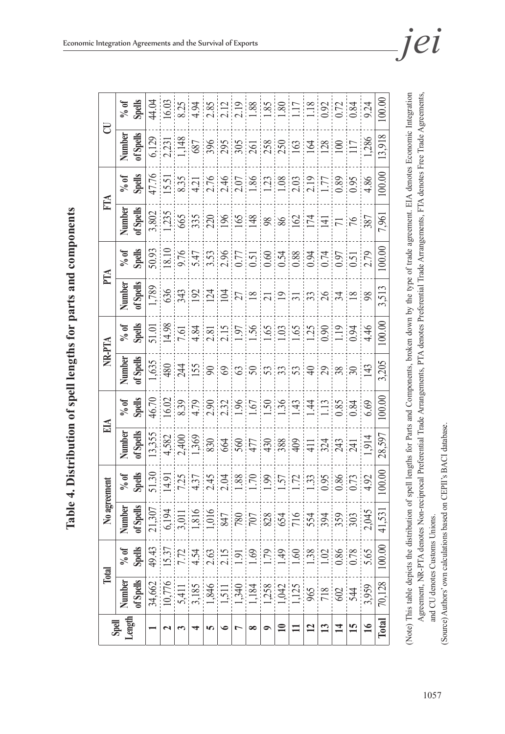| ruhution of spell lengths for parts and components<br>q |
|---------------------------------------------------------|
| <br> <br>                                               |
| צו ומען וטו<br>q                                        |
| D                                                       |
| q                                                       |
|                                                         |
| ・・・<br>₿                                                |

 $00.00$ **Spells** 44.04 16.03  $\frac{8.25}{4.94}$  $\frac{1.88}{1.88}$ **Total** 70,128 100.00 41,531 100.00 28,597 100.00 3,205 100.00 3,513 100.00 7,961 100.00 13,918 100.00  $2.19$ **% of**  34,662 49.43 21,307 51.30 13,355 46.70 1,635 51.01 1,789 50.93 3,802 47.76 6,129 44.04 10,776 15.37 6,194 14.91 4,582 16.02 480 14.98 636 18.10 1,235 15.51 2,231 16.03 2.85  $2.12$  $\frac{8}{8}$  $80$  $\overline{17}$  $.18$  $0.92$  $0.72$  $0.84$ 9.24 5,411 7.72 3,011 7.25 2,400 8.39 244 7.61 343 9.76 665 8.35 1,148 8.25 4 ||3,185 ||4,54 ||4,54 ||4,37 ||4,37 ||4,36 ||4,36 ||4,36 ||4,36 ||4,37 ||4,37 ||4,37 ||4,37 ||4,37 ||4,37 || 1,846 2.63 1,016 2.45 830 2.90 90 2.81 124 3.53 220 2.76 396 2.85 6 | 1,511 | 2.15 | 847 | 847 | 664 | 673 | 69 | 104 | 104 | 2.96 | 106 | 2.46 | 2.46 | 2.55 | 2.12 1,340 | 1,340 | 1,340 | 1,340 | 1,340 | 1,340 | 1,340 | 1,340 | 1,340 | 1,350 | 1,340 | 1,340 | 1,340 | 1,340 | 1,184 1.69 707 1.70 477 1.67 50 1.56 18 0.51 148 1.86 261 1.88 1,258 | 1,258 | 1,258 | 1,258 | 1,258 | 1,258 | 1,258 | 1,258 | 1,258 | 1,258 | 1,258 | 1,258 | 1,23 **10** 1,042 1.49 654 1.57 388 1.36 33 1.03 19 0.54 86 1.08 250 1.80 **11** 1,125 1.60 716 1.72 409 1.43 53 1.65 31 0.88 162 2.03 163 1.17 **12** 965 1.38 554 1.33 411 1.44 40 1.25 33 0.94 174 2.19 164 1.18 **13** 718 1.02 394 0.95 324 1.13 29 0.90 26 0.74 141 1.77 128 0.92 **14** 602 0.86 359 0.86 243 0.85 38 1.19 34 0.97 71 0.89 100 0.72 **15** 544 0.78 303 0.73 241 0.84 30 0.94 18 0.51 76 0.95 117 0.84 **16** 3,959 5.65 2,045 4.92 1,914 6.69 143 4.46 98 2.79 387 4.86 1,286 9.24  $\overline{C}$ **Total Industrial CIA EIA EIA EIA EIA EIA EIA EIA EIA EIA EIA EIA EIA EIA EIA of Spells Number**  13.918  $\frac{6,129}{2,231}$ 687 396  $\frac{295}{2}$  $rac{1}{261}$  $250$  $28$  $\Box$  $286$  $258$ 63 164  $\geq$ j 100.00 47.76<br>15.51<br>8.35<br>4.21 **Spells** 2146120120 **% of**  2.19 0.89  $2.03$  $\frac{1}{7}$  $0.95$ 4.86 j j FIA **of Spells Number**   $\frac{1}{235}$ 3,802 665  $\frac{35}{20}$ 7,961  $|S| \leq |S|$  $\overline{17}$ 86 162  $\overline{[4]}$  $71$ <br>76 100.00 **Spells** 50.93  $\frac{18.10}{2}$ **% of**  9.76  $\frac{3.5}{2.8}$  $\frac{1}{0.88}$  $0.74$ 2.79 0.94 0.97  $\frac{1}{0.51}$ PTA **of Spells Number**  1,789<br>636 3.513 343  $\frac{124}{104}$  $\frac{27}{18}$  $\overline{21}$  $\overline{19}$  $\overline{3}$  $|8|7|8$  $\frac{1}{98}$  $\overline{31}$ 100.00 **Spells** 14.98  $\frac{1}{65}$ **% of**  51.01  $\frac{7.61}{4.84}$  $\frac{1}{0.90}$  $\overline{.}19$  $0.94$ 4.46  $25$ **NR-PTA of Spells Number**  .635 3.205  $rac{315}{80}$  $\frac{1}{480}$  $\frac{1}{4}$  $|\mathfrak{G}|$ ន $|\mathfrak{G}|$ ន $|\mathfrak{G}|$ ន  $\Theta$  $|3| \approx 3$ 100.00 **Spells** 46.70 16.02 **% of**   $\frac{8.39}{4.79}$ 2.90  $2.32$  $\frac{1.96}{1.67}$  $50,36$  $43$ 0.85  $4<sup>i</sup>$  $\Box$ 0.84 6.69  $E<sub>A</sub>$ **of Spells**  $\frac{13,355}{4,582}$ **Number**  2,400 28.597 914  $\frac{1}{830}$ 560 324  $243$ 664 477 430 388 409 İ 411 100.00 **Spells % of**   $\frac{51.30}{14.91}$  $7.25$ <br>4.37  $2.45$ <br> $2.04$  $\frac{88}{1.70}$  $\frac{5}{7}$  $\overline{2}$  $33$ 0.95  $0.86$  $0.73$ 92 No agreement **of Spells Number**  21,307<br>6,194 3.011 816  $016$ 41,531 847  $\frac{1}{80}$ 707 716 554 359  $\frac{1}{2}$  $045$ 554 394 j 100.00 **Spells** 49.43  $\overline{.537}$  $7.72$ 4.54 **% of**  2.63  $2.15$  $\overline{5}$  $69$  $\overline{179}$  $49$ 09.1 1.38  $\overline{0}$ 0.86  $0.78$ 5.65 **Total of Spells** 34,662 10,776 70,128 **Number**  3.185 1,846 340 .184 258 042 125 959 5.411 511 718 602 965 544 **Length Total Spell**  51  $\overline{16}$  $\mathbf{r}$  $\overline{a}$  $13$  $\overline{14}$  $\sim$ **3456789** $\mathbf{I}$ **1**

(Note) This table depicts the distribution of spell lengths for Parts and Components, broken down by the type of trade agreement. EIA denotes Economic Integration Agreement, NR-PTA denotes Non-reciprocal Preferential Trade Arrangements, PTA denotes Preferential Trade Arrangements, FTA denotes Free Trade Agreements,

(Note) This table depicts the distribution of spell lengths for Parts and Components, broken down by the type of trade agreement. EIA denotes Economic Integration Agreement, NR-PTA denotes Non-reciprocal Preferential Trade Arrangements, PTA denotes Preferential Trade Arrangements, FTA denotes Free Trade Agreements,

and CU denotes Customs Unions.

and CU denotes Customs Unions.

(Source) Authors' own calculations based on CEPII's BACI database.

(Source) Authors' own calculations based on CEPII's BACI database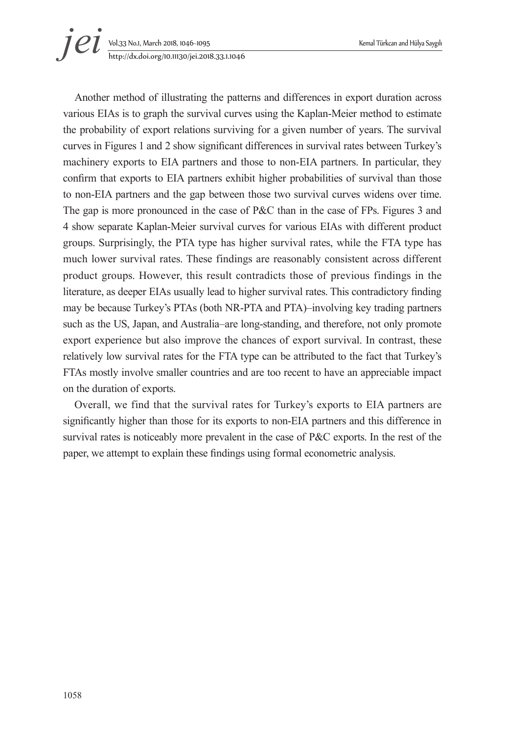# Vol.33 No.1, March 2018, 1046~1095 Kemal Türkcan and Hülya Saygılı *i et yol.33 No.1, March 2018, 1046-1095*<br>*http://dx.doi.org/10.11130/jei.2018.33.1.1046*

Another method of illustrating the patterns and differences in export duration across various EIAs is to graph the survival curves using the Kaplan-Meier method to estimate the probability of export relations surviving for a given number of years. The survival curves in Figures 1 and 2 show significant differences in survival rates between Turkey's machinery exports to EIA partners and those to non-EIA partners. In particular, they confirm that exports to EIA partners exhibit higher probabilities of survival than those to non-EIA partners and the gap between those two survival curves widens over time. The gap is more pronounced in the case of P&C than in the case of FPs. Figures 3 and 4 show separate Kaplan-Meier survival curves for various EIAs with different product groups. Surprisingly, the PTA type has higher survival rates, while the FTA type has much lower survival rates. These findings are reasonably consistent across different product groups. However, this result contradicts those of previous findings in the literature, as deeper EIAs usually lead to higher survival rates. This contradictory finding may be because Turkey's PTAs (both NR-PTA and PTA)–involving key trading partners such as the US, Japan, and Australia–are long-standing, and therefore, not only promote export experience but also improve the chances of export survival. In contrast, these relatively low survival rates for the FTA type can be attributed to the fact that Turkey's FTAs mostly involve smaller countries and are too recent to have an appreciable impact on the duration of exports.

Overall, we find that the survival rates for Turkey's exports to EIA partners are significantly higher than those for its exports to non-EIA partners and this difference in survival rates is noticeably more prevalent in the case of P&C exports. In the rest of the paper, we attempt to explain these findings using formal econometric analysis.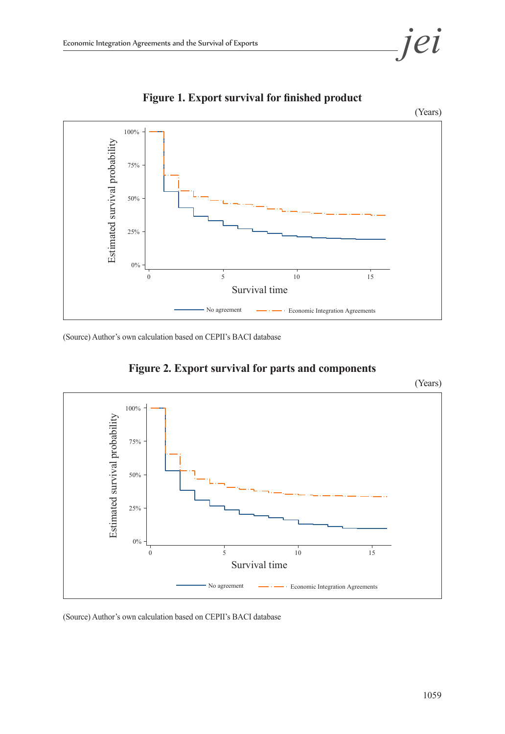



**Figure 1. Export survival for finished product**

(Source) Author's own calculation based on CEPII's BACI database



**Figure 2. Export survival for parts and components**

(Source) Author's own calculation based on CEPII's BACI database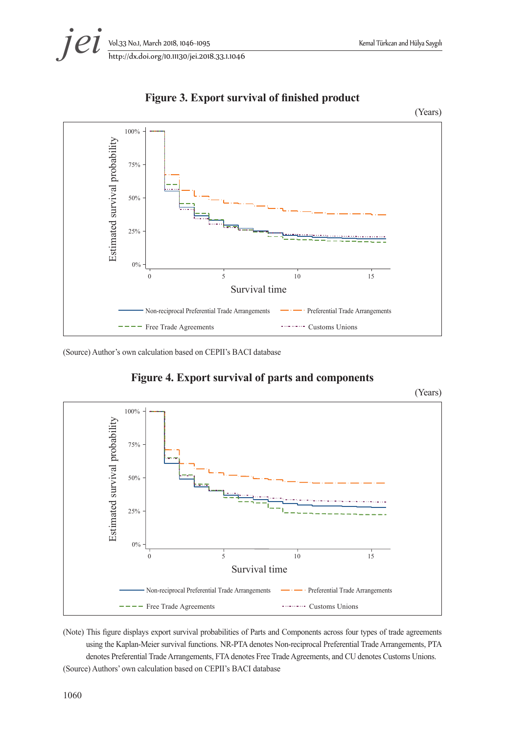



**Figure 3. Export survival of finished product**

(Source) Author's own calculation based on CEPII's BACI database



#### **Figure 4. Export survival of parts and components**

(Note) This figure displays export survival probabilities of Parts and Components across four types of trade agreements using the Kaplan-Meier survival functions. NR-PTA denotes Non-reciprocal Preferential Trade Arrangements, PTA denotes Preferential Trade Arrangements, FTA denotes Free Trade Agreements, and CU denotes Customs Unions. (Source) Authors' own calculation based on CEPII's BACI database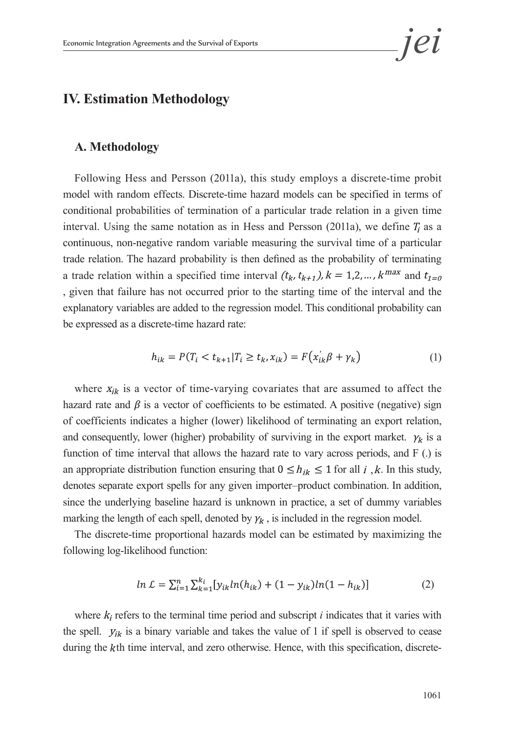# **IV. Estimation Methodology**

#### **A. Methodology**

Following Hess and Persson (2011a), this study employs a discrete-time probit model with random effects. Discrete-time hazard models can be specified in terms of conditional probabilities of termination of a particular trade relation in a given time interval. Using the same notation as in Hess and Persson (2011a), we define  $T_i$  as a continuous, non-negative random variable measuring the survival time of a particular trade relation. The hazard probability is then defined as the probability of terminating a trade relation within a specified time interval  $(t_k, t_{k+1})$ ,  $k = 1, 2, ..., k^{max}$  and  $t_{1=0}$ , given that failure has not occurred prior to the starting time of the interval and the explanatory variables are added to the regression model. This conditional probability can be expressed as a discrete-time hazard rate:

$$
h_{ik} = P(T_i < t_{k+1} | T_i \ge t_k, x_{ik}) = F(x_{ik}'\beta + \gamma_k) \tag{1}
$$

where  $x_{ik}$  is a vector of time-varying covariates that are assumed to affect the hazard rate and  $\beta$  is a vector of coefficients to be estimated. A positive (negative) sign of coefficients indicates a higher (lower) likelihood of terminating an export relation, and consequently, lower (higher) probability of surviving in the export market.  $\gamma_k$  is a function of time interval that allows the hazard rate to vary across periods, and F (.) is an appropriate distribution function ensuring that  $0 \le h_{ik} \le 1$  for all i, k. In this study, denotes separate export spells for any given importer–product combination. In addition, since the underlying baseline hazard is unknown in practice, a set of dummy variables marking the length of each spell, denoted by  $\gamma_k$ , is included in the regression model.

The discrete-time proportional hazards model can be estimated by maximizing the following log-likelihood function:

$$
ln \mathcal{L} = \sum_{i=1}^{n} \sum_{k=1}^{k_i} [y_{ik} ln(h_{ik}) + (1 - y_{ik}) ln(1 - h_{ik})]
$$
 (2)

where  $k_i$  refers to the terminal time period and subscript  $i$  indicates that it varies with the spell.  $y_{ik}$  is a binary variable and takes the value of 1 if spell is observed to cease during the kth time interval, and zero otherwise. Hence, with this specification, discrete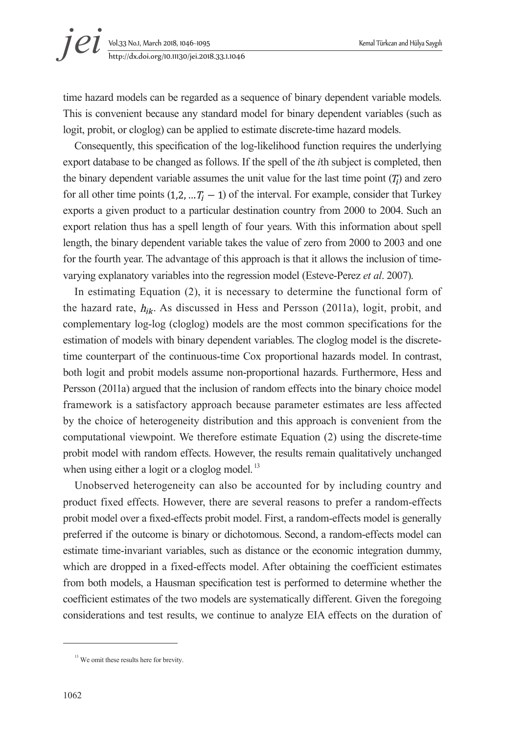time hazard models can be regarded as a sequence of binary dependent variable models. This is convenient because any standard model for binary dependent variables (such as logit, probit, or cloglog) can be applied to estimate discrete-time hazard models.

Consequently, this specification of the log-likelihood function requires the underlying export database to be changed as follows. If the spell of the *i*th subject is completed, then the binary dependent variable assumes the unit value for the last time point  $(T<sub>i</sub>)$  and zero for all other time points  $(1,2,...T_i-1)$  of the interval. For example, consider that Turkey exports a given product to a particular destination country from 2000 to 2004. Such an export relation thus has a spell length of four years. With this information about spell length, the binary dependent variable takes the value of zero from 2000 to 2003 and one for the fourth year. The advantage of this approach is that it allows the inclusion of timevarying explanatory variables into the regression model (Esteve-Perez *et al*. 2007).

In estimating Equation (2), it is necessary to determine the functional form of the hazard rate,  $h_{ik}$ . As discussed in Hess and Persson (2011a), logit, probit, and complementary log-log (cloglog) models are the most common specifications for the estimation of models with binary dependent variables. The cloglog model is the discretetime counterpart of the continuous-time Cox proportional hazards model. In contrast, both logit and probit models assume non-proportional hazards. Furthermore, Hess and Persson (2011a) argued that the inclusion of random effects into the binary choice model framework is a satisfactory approach because parameter estimates are less affected by the choice of heterogeneity distribution and this approach is convenient from the computational viewpoint. We therefore estimate Equation (2) using the discrete-time probit model with random effects. However, the results remain qualitatively unchanged when using either a logit or a cloglog model.<sup>13</sup>

Unobserved heterogeneity can also be accounted for by including country and product fixed effects. However, there are several reasons to prefer a random-effects probit model over a fixed-effects probit model. First, a random-effects model is generally preferred if the outcome is binary or dichotomous. Second, a random-effects model can estimate time-invariant variables, such as distance or the economic integration dummy, which are dropped in a fixed-effects model. After obtaining the coefficient estimates from both models, a Hausman specification test is performed to determine whether the coefficient estimates of the two models are systematically different. Given the foregoing considerations and test results, we continue to analyze EIA effects on the duration of

<sup>&</sup>lt;sup>13</sup> We omit these results here for brevity.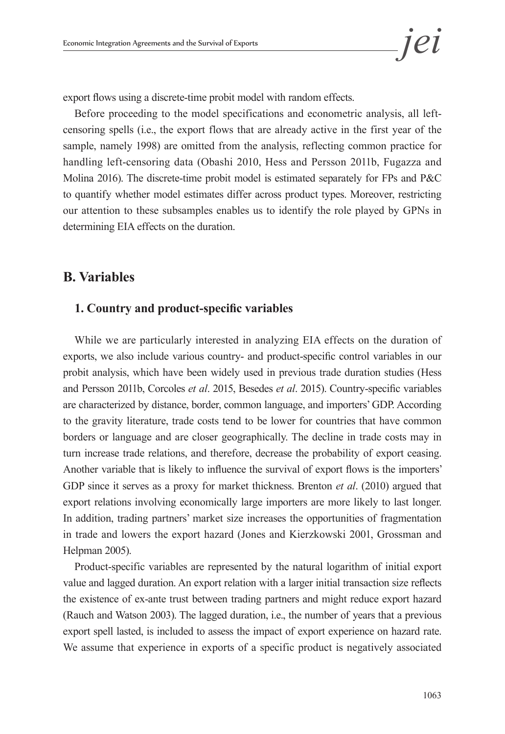export flows using a discrete-time probit model with random effects.

Before proceeding to the model specifications and econometric analysis, all leftcensoring spells (i.e., the export flows that are already active in the first year of the sample, namely 1998) are omitted from the analysis, reflecting common practice for handling left-censoring data (Obashi 2010, Hess and Persson 2011b, Fugazza and Molina 2016). The discrete-time probit model is estimated separately for FPs and P&C to quantify whether model estimates differ across product types. Moreover, restricting our attention to these subsamples enables us to identify the role played by GPNs in determining EIA effects on the duration.

### **B. Variables**

#### **1. Country and product-specific variables**

While we are particularly interested in analyzing EIA effects on the duration of exports, we also include various country- and product-specific control variables in our probit analysis, which have been widely used in previous trade duration studies (Hess and Persson 2011b, Corcoles *et al*. 2015, Besedes *et al*. 2015). Country-specific variables are characterized by distance, border, common language, and importers' GDP. According to the gravity literature, trade costs tend to be lower for countries that have common borders or language and are closer geographically. The decline in trade costs may in turn increase trade relations, and therefore, decrease the probability of export ceasing. Another variable that is likely to influence the survival of export flows is the importers' GDP since it serves as a proxy for market thickness. Brenton *et al*. (2010) argued that export relations involving economically large importers are more likely to last longer. In addition, trading partners' market size increases the opportunities of fragmentation in trade and lowers the export hazard (Jones and Kierzkowski 2001, Grossman and Helpman 2005).

Product-specific variables are represented by the natural logarithm of initial export value and lagged duration. An export relation with a larger initial transaction size reflects the existence of ex-ante trust between trading partners and might reduce export hazard (Rauch and Watson 2003). The lagged duration, i.e., the number of years that a previous export spell lasted, is included to assess the impact of export experience on hazard rate. We assume that experience in exports of a specific product is negatively associated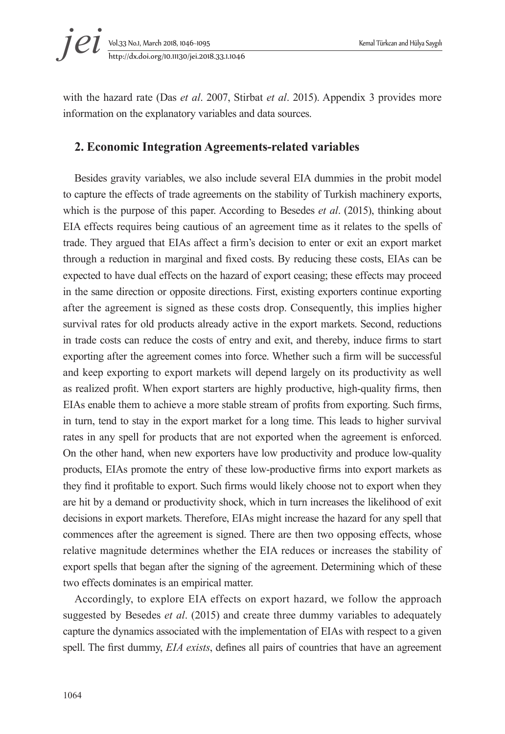

with the hazard rate (Das *et al*. 2007, Stirbat *et al*. 2015). Appendix 3 provides more information on the explanatory variables and data sources.

#### **2. Economic Integration Agreements-related variables**

Besides gravity variables, we also include several EIA dummies in the probit model to capture the effects of trade agreements on the stability of Turkish machinery exports, which is the purpose of this paper. According to Besedes *et al*. (2015), thinking about EIA effects requires being cautious of an agreement time as it relates to the spells of trade. They argued that EIAs affect a firm's decision to enter or exit an export market through a reduction in marginal and fixed costs. By reducing these costs, EIAs can be expected to have dual effects on the hazard of export ceasing; these effects may proceed in the same direction or opposite directions. First, existing exporters continue exporting after the agreement is signed as these costs drop. Consequently, this implies higher survival rates for old products already active in the export markets. Second, reductions in trade costs can reduce the costs of entry and exit, and thereby, induce firms to start exporting after the agreement comes into force. Whether such a firm will be successful and keep exporting to export markets will depend largely on its productivity as well as realized profit. When export starters are highly productive, high-quality firms, then EIAs enable them to achieve a more stable stream of profits from exporting. Such firms, in turn, tend to stay in the export market for a long time. This leads to higher survival rates in any spell for products that are not exported when the agreement is enforced. On the other hand, when new exporters have low productivity and produce low-quality products, EIAs promote the entry of these low-productive firms into export markets as they find it profitable to export. Such firms would likely choose not to export when they are hit by a demand or productivity shock, which in turn increases the likelihood of exit decisions in export markets. Therefore, EIAs might increase the hazard for any spell that commences after the agreement is signed. There are then two opposing effects, whose relative magnitude determines whether the EIA reduces or increases the stability of export spells that began after the signing of the agreement. Determining which of these two effects dominates is an empirical matter.

Accordingly, to explore EIA effects on export hazard, we follow the approach suggested by Besedes *et al*. (2015) and create three dummy variables to adequately capture the dynamics associated with the implementation of EIAs with respect to a given spell. The first dummy, *EIA exists*, defines all pairs of countries that have an agreement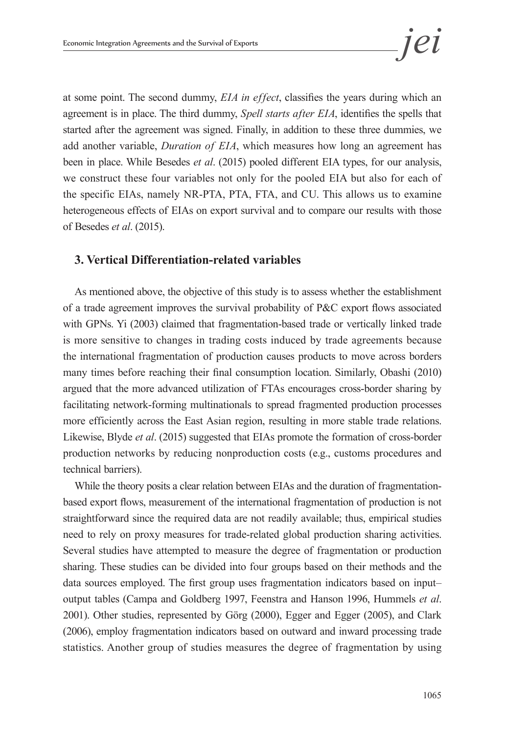at some point. The second dummy, *EIA in effect*, classifies the years during which an agreement is in place. The third dummy, *Spell starts after EIA*, identifies the spells that started after the agreement was signed. Finally, in addition to these three dummies, we add another variable, *Duration of EIA*, which measures how long an agreement has been in place. While Besedes *et al*. (2015) pooled different EIA types, for our analysis, we construct these four variables not only for the pooled EIA but also for each of the specific EIAs, namely NR-PTA, PTA, FTA, and CU. This allows us to examine heterogeneous effects of EIAs on export survival and to compare our results with those of Besedes *et al*. (2015).

#### **3. Vertical Differentiation-related variables**

As mentioned above, the objective of this study is to assess whether the establishment of a trade agreement improves the survival probability of P&C export flows associated with GPNs. Yi (2003) claimed that fragmentation-based trade or vertically linked trade is more sensitive to changes in trading costs induced by trade agreements because the international fragmentation of production causes products to move across borders many times before reaching their final consumption location. Similarly, Obashi (2010) argued that the more advanced utilization of FTAs encourages cross-border sharing by facilitating network-forming multinationals to spread fragmented production processes more efficiently across the East Asian region, resulting in more stable trade relations. Likewise, Blyde *et al*. (2015) suggested that EIAs promote the formation of cross-border production networks by reducing nonproduction costs (e.g., customs procedures and technical barriers).

While the theory posits a clear relation between EIAs and the duration of fragmentationbased export flows, measurement of the international fragmentation of production is not straightforward since the required data are not readily available; thus, empirical studies need to rely on proxy measures for trade-related global production sharing activities. Several studies have attempted to measure the degree of fragmentation or production sharing. These studies can be divided into four groups based on their methods and the data sources employed. The first group uses fragmentation indicators based on input– output tables (Campa and Goldberg 1997, Feenstra and Hanson 1996, Hummels *et al*. 2001). Other studies, represented by Görg (2000), Egger and Egger (2005), and Clark (2006), employ fragmentation indicators based on outward and inward processing trade statistics. Another group of studies measures the degree of fragmentation by using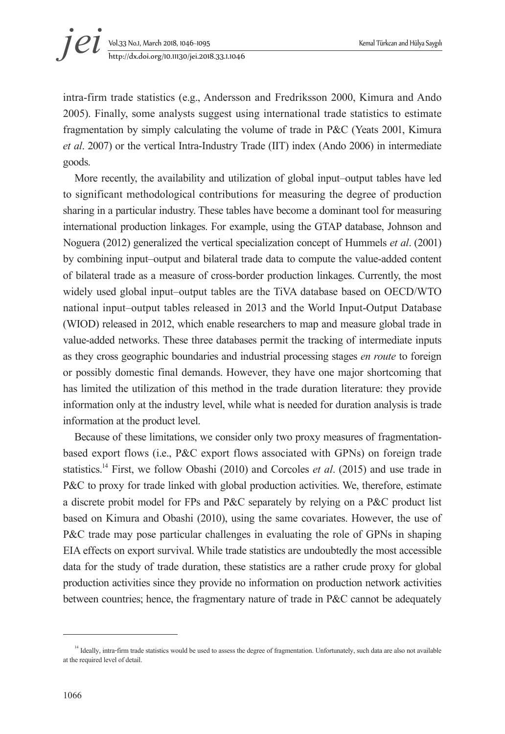intra-firm trade statistics (e.g., Andersson and Fredriksson 2000, Kimura and Ando 2005). Finally, some analysts suggest using international trade statistics to estimate fragmentation by simply calculating the volume of trade in P&C (Yeats 2001, Kimura *et al*. 2007) or the vertical Intra-Industry Trade (IIT) index (Ando 2006) in intermediate goods.

More recently, the availability and utilization of global input–output tables have led to significant methodological contributions for measuring the degree of production sharing in a particular industry. These tables have become a dominant tool for measuring international production linkages. For example, using the GTAP database, Johnson and Noguera (2012) generalized the vertical specialization concept of Hummels *et al*. (2001) by combining input–output and bilateral trade data to compute the value-added content of bilateral trade as a measure of cross-border production linkages. Currently, the most widely used global input–output tables are the TiVA database based on OECD/WTO national input–output tables released in 2013 and the World Input-Output Database (WIOD) released in 2012, which enable researchers to map and measure global trade in value-added networks. These three databases permit the tracking of intermediate inputs as they cross geographic boundaries and industrial processing stages *en route* to foreign or possibly domestic final demands. However, they have one major shortcoming that has limited the utilization of this method in the trade duration literature: they provide information only at the industry level, while what is needed for duration analysis is trade information at the product level.

Because of these limitations, we consider only two proxy measures of fragmentationbased export flows (i.e., P&C export flows associated with GPNs) on foreign trade statistics.14 First, we follow Obashi (2010) and Corcoles *et al*. (2015) and use trade in P&C to proxy for trade linked with global production activities. We, therefore, estimate a discrete probit model for FPs and P&C separately by relying on a P&C product list based on Kimura and Obashi (2010), using the same covariates. However, the use of P&C trade may pose particular challenges in evaluating the role of GPNs in shaping EIA effects on export survival. While trade statistics are undoubtedly the most accessible data for the study of trade duration, these statistics are a rather crude proxy for global production activities since they provide no information on production network activities between countries; hence, the fragmentary nature of trade in P&C cannot be adequately

<sup>&</sup>lt;sup>14</sup> Ideally, intra-firm trade statistics would be used to assess the degree of fragmentation. Unfortunately, such data are also not available at the required level of detail.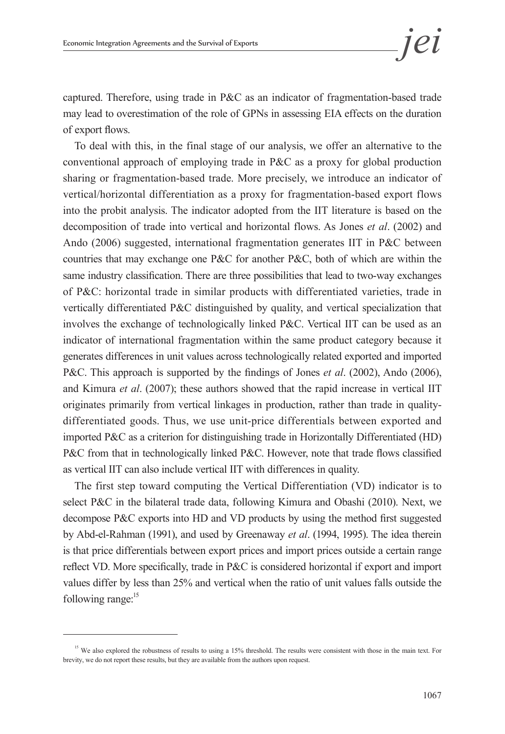captured. Therefore, using trade in P&C as an indicator of fragmentation-based trade may lead to overestimation of the role of GPNs in assessing EIA effects on the duration of export flows.

To deal with this, in the final stage of our analysis, we offer an alternative to the conventional approach of employing trade in P&C as a proxy for global production sharing or fragmentation-based trade. More precisely, we introduce an indicator of vertical/horizontal differentiation as a proxy for fragmentation-based export flows into the probit analysis. The indicator adopted from the IIT literature is based on the decomposition of trade into vertical and horizontal flows. As Jones *et al*. (2002) and Ando (2006) suggested, international fragmentation generates IIT in P&C between countries that may exchange one P&C for another P&C, both of which are within the same industry classification. There are three possibilities that lead to two-way exchanges of P&C: horizontal trade in similar products with differentiated varieties, trade in vertically differentiated P&C distinguished by quality, and vertical specialization that involves the exchange of technologically linked P&C. Vertical IIT can be used as an indicator of international fragmentation within the same product category because it generates differences in unit values across technologically related exported and imported P&C. This approach is supported by the findings of Jones *et al*. (2002), Ando (2006), and Kimura *et al*. (2007); these authors showed that the rapid increase in vertical IIT originates primarily from vertical linkages in production, rather than trade in qualitydifferentiated goods. Thus, we use unit-price differentials between exported and imported P&C as a criterion for distinguishing trade in Horizontally Differentiated (HD) P&C from that in technologically linked P&C. However, note that trade flows classified as vertical IIT can also include vertical IIT with differences in quality.

The first step toward computing the Vertical Differentiation (VD) indicator is to select P&C in the bilateral trade data, following Kimura and Obashi (2010). Next, we decompose P&C exports into HD and VD products by using the method first suggested by Abd-el-Rahman (1991), and used by Greenaway *et al*. (1994, 1995). The idea therein is that price differentials between export prices and import prices outside a certain range reflect VD. More specifically, trade in P&C is considered horizontal if export and import values differ by less than 25% and vertical when the ratio of unit values falls outside the following range: $15$ 

<sup>&</sup>lt;sup>15</sup> We also explored the robustness of results to using a 15% threshold. The results were consistent with those in the main text. For brevity, we do not report these results, but they are available from the authors upon request.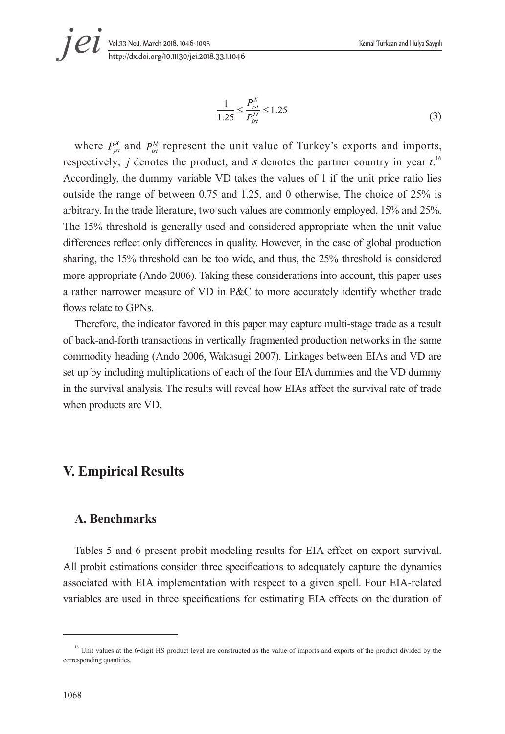$$
\frac{1}{1.25} \le \frac{P_{jst}^A}{P_{jst}^M} \le 1.25\tag{3}
$$

where  $P_{\text{int}}^{X}$  and  $P_{\text{int}}^{M}$  represent the unit value of Turkey's exports and imports, respectively; *j* denotes the product, and *s* denotes the partner country in year  $t^{16}$ . Accordingly, the dummy variable VD takes the values of 1 if the unit price ratio lies outside the range of between 0.75 and 1.25, and 0 otherwise. The choice of 25% is arbitrary. In the trade literature, two such values are commonly employed, 15% and 25%. The 15% threshold is generally used and considered appropriate when the unit value differences reflect only differences in quality. However, in the case of global production sharing, the 15% threshold can be too wide, and thus, the 25% threshold is considered more appropriate (Ando 2006). Taking these considerations into account, this paper uses a rather narrower measure of VD in P&C to more accurately identify whether trade flows relate to GPNs.

Therefore, the indicator favored in this paper may capture multi-stage trade as a result of back-and-forth transactions in vertically fragmented production networks in the same commodity heading (Ando 2006, Wakasugi 2007). Linkages between EIAs and VD are set up by including multiplications of each of the four EIA dummies and the VD dummy in the survival analysis. The results will reveal how EIAs affect the survival rate of trade when products are VD.

### **V. Empirical Results**

#### **A. Benchmarks**

Tables 5 and 6 present probit modeling results for EIA effect on export survival. All probit estimations consider three specifications to adequately capture the dynamics associated with EIA implementation with respect to a given spell. Four EIA-related variables are used in three specifications for estimating EIA effects on the duration of

<sup>&</sup>lt;sup>16</sup> Unit values at the 6-digit HS product level are constructed as the value of imports and exports of the product divided by the corresponding quantities.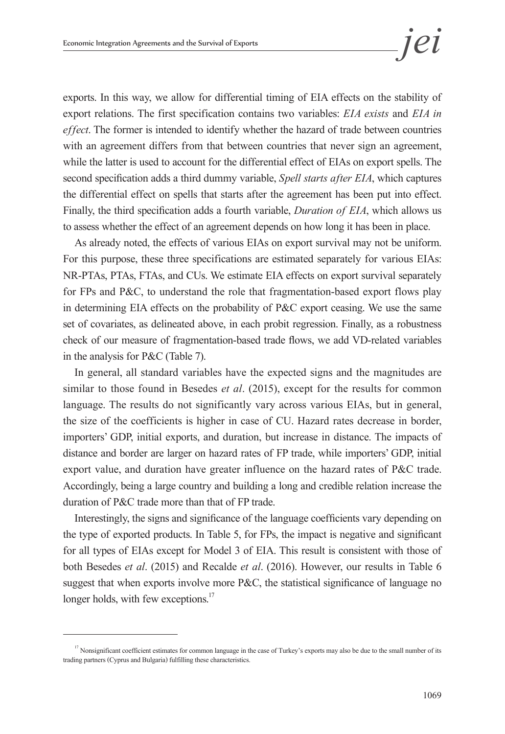exports. In this way, we allow for differential timing of EIA effects on the stability of export relations. The first specification contains two variables: *EIA exists* and *EIA in effect*. The former is intended to identify whether the hazard of trade between countries with an agreement differs from that between countries that never sign an agreement, while the latter is used to account for the differential effect of EIAs on export spells. The second specification adds a third dummy variable, *Spell starts after EIA*, which captures the differential effect on spells that starts after the agreement has been put into effect. Finally, the third specification adds a fourth variable, *Duration of EIA*, which allows us to assess whether the effect of an agreement depends on how long it has been in place.

As already noted, the effects of various EIAs on export survival may not be uniform. For this purpose, these three specifications are estimated separately for various EIAs: NR-PTAs, PTAs, FTAs, and CUs. We estimate EIA effects on export survival separately for FPs and P&C, to understand the role that fragmentation-based export flows play in determining EIA effects on the probability of P&C export ceasing. We use the same set of covariates, as delineated above, in each probit regression. Finally, as a robustness check of our measure of fragmentation-based trade flows, we add VD-related variables in the analysis for P&C (Table 7).

In general, all standard variables have the expected signs and the magnitudes are similar to those found in Besedes *et al*. (2015), except for the results for common language. The results do not significantly vary across various EIAs, but in general, the size of the coefficients is higher in case of CU. Hazard rates decrease in border, importers' GDP, initial exports, and duration, but increase in distance. The impacts of distance and border are larger on hazard rates of FP trade, while importers' GDP, initial export value, and duration have greater influence on the hazard rates of P&C trade. Accordingly, being a large country and building a long and credible relation increase the duration of P&C trade more than that of FP trade.

Interestingly, the signs and significance of the language coefficients vary depending on the type of exported products. In Table 5, for FPs, the impact is negative and significant for all types of EIAs except for Model 3 of EIA. This result is consistent with those of both Besedes *et al*. (2015) and Recalde *et al*. (2016). However, our results in Table 6 suggest that when exports involve more P&C, the statistical significance of language no longer holds, with few exceptions.<sup>17</sup>

<sup>&</sup>lt;sup>17</sup> Nonsignificant coefficient estimates for common language in the case of Turkey's exports may also be due to the small number of its trading partners (Cyprus and Bulgaria) fulfilling these characteristics.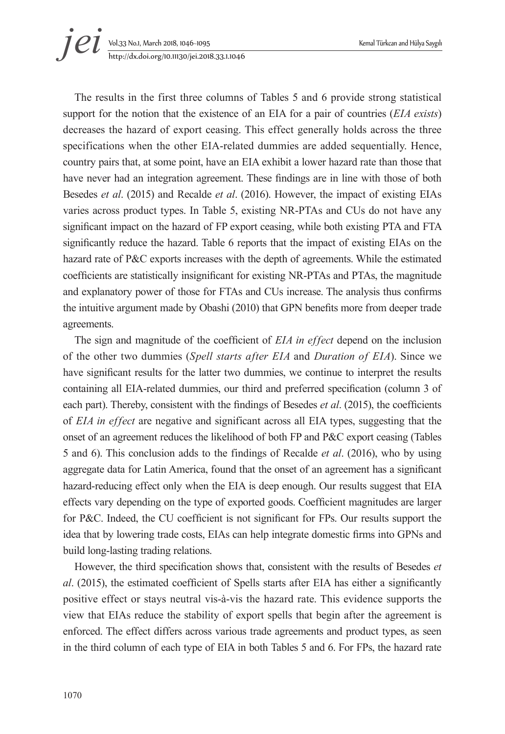# Vol.33 No.1, March 2018, 1046~1095 Kemal Türkcan and Hülya Saygılı http://dx.doi.org/10.11130/jei.2018.33.1.1046 *jei*

The results in the first three columns of Tables 5 and 6 provide strong statistical support for the notion that the existence of an EIA for a pair of countries (*EIA exists*) decreases the hazard of export ceasing. This effect generally holds across the three specifications when the other EIA-related dummies are added sequentially. Hence, country pairs that, at some point, have an EIA exhibit a lower hazard rate than those that have never had an integration agreement. These findings are in line with those of both Besedes *et al*. (2015) and Recalde *et al*. (2016). However, the impact of existing EIAs varies across product types. In Table 5, existing NR-PTAs and CUs do not have any significant impact on the hazard of FP export ceasing, while both existing PTA and FTA significantly reduce the hazard. Table 6 reports that the impact of existing EIAs on the hazard rate of P&C exports increases with the depth of agreements. While the estimated coefficients are statistically insignificant for existing NR-PTAs and PTAs, the magnitude and explanatory power of those for FTAs and CUs increase. The analysis thus confirms the intuitive argument made by Obashi (2010) that GPN benefits more from deeper trade agreements.

The sign and magnitude of the coefficient of *EIA in effect* depend on the inclusion of the other two dummies (*Spell starts after EIA* and *Duration of EIA*). Since we have significant results for the latter two dummies, we continue to interpret the results containing all EIA-related dummies, our third and preferred specification (column 3 of each part). Thereby, consistent with the findings of Besedes *et al*. (2015), the coefficients of *EIA in effect* are negative and significant across all EIA types, suggesting that the onset of an agreement reduces the likelihood of both FP and P&C export ceasing (Tables 5 and 6). This conclusion adds to the findings of Recalde *et al*. (2016), who by using aggregate data for Latin America, found that the onset of an agreement has a significant hazard-reducing effect only when the EIA is deep enough. Our results suggest that EIA effects vary depending on the type of exported goods. Coefficient magnitudes are larger for P&C. Indeed, the CU coefficient is not significant for FPs. Our results support the idea that by lowering trade costs, EIAs can help integrate domestic firms into GPNs and build long-lasting trading relations.

However, the third specification shows that, consistent with the results of Besedes *et al*. (2015), the estimated coefficient of Spells starts after EIA has either a significantly positive effect or stays neutral vis-à-vis the hazard rate. This evidence supports the view that EIAs reduce the stability of export spells that begin after the agreement is enforced. The effect differs across various trade agreements and product types, as seen in the third column of each type of EIA in both Tables 5 and 6. For FPs, the hazard rate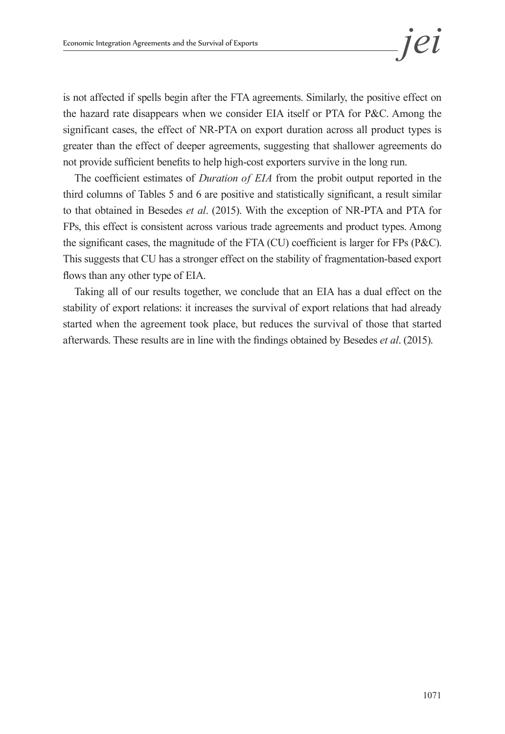is not affected if spells begin after the FTA agreements. Similarly, the positive effect on the hazard rate disappears when we consider EIA itself or PTA for P&C. Among the significant cases, the effect of NR-PTA on export duration across all product types is greater than the effect of deeper agreements, suggesting that shallower agreements do not provide sufficient benefits to help high-cost exporters survive in the long run.

The coefficient estimates of *Duration of EIA* from the probit output reported in the third columns of Tables 5 and 6 are positive and statistically significant, a result similar to that obtained in Besedes *et al*. (2015). With the exception of NR-PTA and PTA for FPs, this effect is consistent across various trade agreements and product types. Among the significant cases, the magnitude of the FTA (CU) coefficient is larger for FPs (P&C). This suggests that CU has a stronger effect on the stability of fragmentation-based export flows than any other type of EIA.

Taking all of our results together, we conclude that an EIA has a dual effect on the stability of export relations: it increases the survival of export relations that had already started when the agreement took place, but reduces the survival of those that started afterwards. These results are in line with the findings obtained by Besedes *et al*. (2015).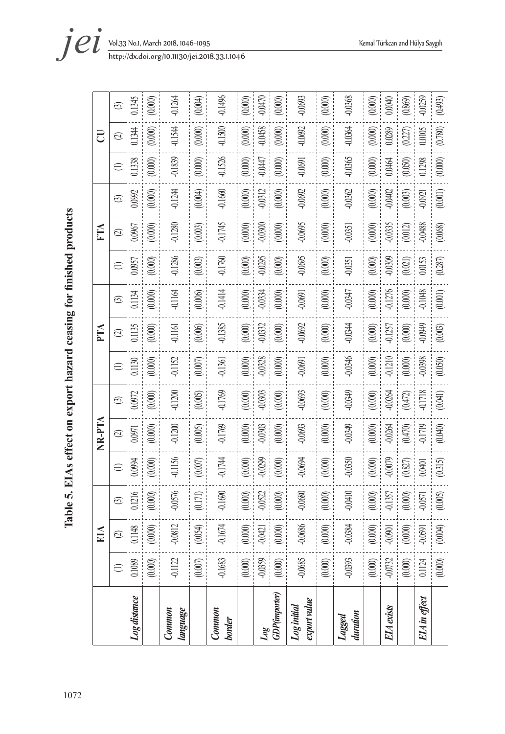Table 5. EIAs effect on export hazard ceasing for finished products 1072**Table 5. EIAs effect on export hazard ceasing for finished products**

|                             |           |           |           |           | NR-PTA    |           |           | PTA       |                        |           | FТА       |           |                       | U         |           |
|-----------------------------|-----------|-----------|-----------|-----------|-----------|-----------|-----------|-----------|------------------------|-----------|-----------|-----------|-----------------------|-----------|-----------|
|                             | $\in$     | $\odot$   | ල         | $\oplus$  | $\odot$   | G         | $\oplus$  | $\odot$   | $\odot$                | $\ominus$ | $\odot$   | ල         | $\oplus$              | $\odot$   | $\odot$   |
| Log distance                | 0.1089    | 0.1148    | 0.1216    | 10994     | 1,0971    | 0.0972    | 0.1130    | 11135     | 1134                   | 10957     | 1,0967    | 0.0992    | 11338                 | 1344      | 11345     |
|                             | $(0.000)$ | $(0.000)$ | (0.000)   | (0.000)   | (0.000)   | (0.000)   | 0.000     | (0.000)   | (0.000)                | (0.000)   | (0.000)   | (0.000)   | (0.000)               | 0.000     | (0.000)   |
| Common<br>Jangunge          | 0.1122    | $-0.0812$ | 0.0576    | 0.1156    | $-0.1200$ | 0.1200    | 0.1152    | $-0.1161$ | 0.1164                 | 0.1286    | $-0.1280$ | 0.1244    | 0.1839                | 0.1544    | 0.1264    |
|                             | $(0.007)$ | (0.054)   | (0.171)   | (0.007)   | (0.005)   | (0.005)   | $(0.007)$ | (0.006)   | (0.006)                | $(0.003)$ | (0.003)   | (0.004)   | $(0.000)$             | (0.000)   | (1000)    |
| Common<br><b>border</b>     | $-0.1683$ | $-0.1674$ | $-0.1690$ | 0.1744    | -0.1769   | 0.1769    | $-0.1361$ | 0.1385    | $-0.1414$              | 0.1760    | $-0.1745$ | $-0.1660$ | $-0.1526$             | $-0.1500$ | 0.1496    |
|                             | $(0.000)$ | $(0.000)$ | (0.000)   | (0.000)   | (0.000)   | (0.000)   | (0.000)   | (0.000)   |                        | (0.000)   | (0.000)   | (0.000)   | (0.000)               | (0.000)   | (0.000)   |
| Log                         | $-0.0359$ | $-0.0421$ | $-0.0522$ | 0.0299    | 0.0303    | 0.0303    | $-0.0328$ | 0.0332    | $(0.000)$<br>$-0.0334$ | 0.0295    | $-0.0300$ | 0.0312    | <b>CHO:0-</b>         | 0.0458    | 0.0470    |
| <b>GDP(importer)</b>        | $(0.000)$ | $(0.000)$ | (0.000)   | (0.000)   | (0.000)   | (0.000)   | $(0.000)$ | $(0.000)$ | $(0.000)$              | $(0.000)$ | $(0.000)$ | (0.000)   | (0.000)               | (0.000)   | (0.000)   |
| export value<br>Log initial | $-0.0685$ | $-0.0686$ | 0.0680    | 0.0694    | -0.0693   | 0.0693    | $-0.0691$ | -0.0692   | 0.0691                 | 0.0695    | $-0.0695$ | 0.0692    | $-0.0691$             | 0.0692    | 0.0693    |
|                             | $(0.000)$ | $(0.000)$ | (0.000)   | (0.000)   | (0.000)   | $(0.000)$ | $(0.000)$ | $(0.000)$ | (0.000)                | (0.000)   | (0.000)   | $(0.000)$ | (0.000)               | (0.000)   | (0.000)   |
| Lagged<br>duration          | -0.0393   | $-0.0384$ | 0.0410    | 0.0350    | -0.0349   | 0.0349    | -0.0346   | -0.0344   | 0.0347                 | 0.0351    | $-0.0351$ | 0.0362    | 0.0365                | -0.0364   | 0.0368    |
|                             | $(0.000)$ | $(0.000)$ | $(0.000)$ | $(0.000)$ | $(0.000)$ | $(0.000)$ | $(0.000)$ | $(0.000)$ |                        | $(0.000)$ | $(0.000)$ | $(0.000)$ | $(0.000)$             | (0.000)   | (0.000)   |
| EIA exists                  | $-0.0732$ | $-0.0901$ | 0.1357    | 0.0079    | $-0.0264$ | 0.0264    | $-0.1210$ | 0.1257    | $(0.000)$<br>$0.1276$  | 0.0309    | $-0.0335$ | 0.0402    | 0.0464                | 0.0289    | 0.0040    |
|                             | $(0.000)$ | $(0.000)$ | $(0.000)$ | (0.827)   | (0.470)   | $(0.472)$ | $(0.000)$ | $(0.000)$ | $(0.000)$              | $(0.021)$ | (0.012)   | $(0.003)$ | $(0.050)$<br>$0.1298$ | (227)     | (0.869)   |
| EIA in effect               | $0.1124$  | $-0.0591$ | $-0.0571$ | 0.0401    | 0.1719    | 0.1718    | -0.0398   | 0.0949    | $-0.1048$              | 0.0153    | $-0.0488$ | 0.0921    |                       | 0.0105    | $-0.0259$ |
|                             | (0.000)   | (0.004)   | (0.005)   | (0.315)   | (0.040)   | (0.041)   | (0.050)   | (0.003)   | (0.001)                | (0.287)   | (0.068)   | (0.001)   | (0.000)               | (0.780)   | (0.493)   |

*i et yol.33 No.1, March 2018, 1046-1095*<br>*http://dx.doi.org/10.11130/jei.2018.33.1.1046*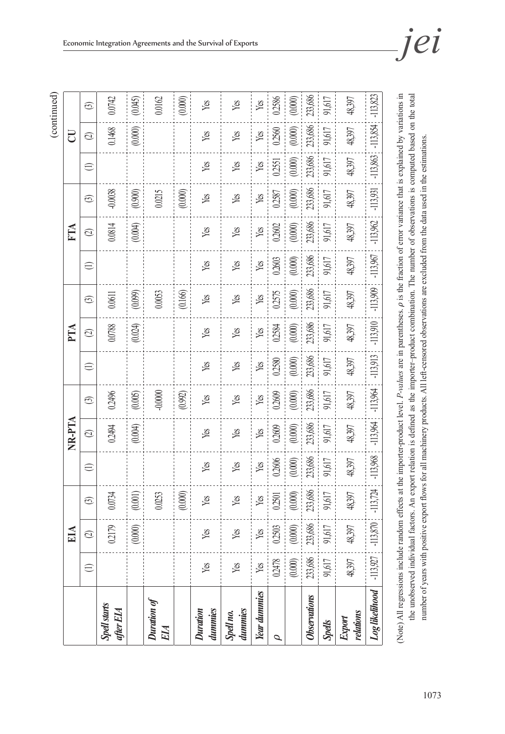(continued)

|                                                                                                                                                                                  |            | EІА        |            |            | NR-PTA             |            |           | PTA        |            |            | <b>KIN</b> |            |            | U          |            |
|----------------------------------------------------------------------------------------------------------------------------------------------------------------------------------|------------|------------|------------|------------|--------------------|------------|-----------|------------|------------|------------|------------|------------|------------|------------|------------|
|                                                                                                                                                                                  | $\oplus$   | $\odot$    | $\odot$    | $\ominus$  | $\widehat{\infty}$ | $\odot$    | $\ominus$ | $\odot$    | $\odot$    | $\ominus$  | $\odot$    | $\odot$    | $\oplus$   | $\odot$    | $\odot$    |
| <b>Spell starts</b><br>after EIA                                                                                                                                                 |            | 02179      | 0.0734     |            | 0.2494             | 02496      |           | 0.0788     | 0.0611     |            | 0.0814     | -0.0038    |            | 0.1468     | 0.0742     |
|                                                                                                                                                                                  |            | (0.000)    | (0.001)    |            | (0.004)            | (0.005)    |           | (0.024)    | (0.099)    |            | (0.004)    | (0.900)    |            | (0.000)    | (0.045)    |
| Duration of<br>EIA                                                                                                                                                               |            |            | 0.0253     |            |                    | $-0.0000$  |           |            | 0.0053     |            |            | 0.0215     |            |            | 0.0162     |
|                                                                                                                                                                                  |            |            | (0.000)    |            |                    | (0.992)    |           |            | (0.166)    |            |            | $(0.000)$  |            |            | (0.000)    |
| Duration<br>dummies                                                                                                                                                              | Yg         | Yes        | Yes        | Yes        | Yes                | Yes        | Yes       | Yes        | Yes        | Yes        | Yes        | Yes        | Yg         | Yes        | Yes        |
| dummies<br>Spell no.                                                                                                                                                             | Yg         | Yes        | Yes        | Yes        | Yes                | Yes        | Yes       | Yes        | Yes        | Yes        | Yes        | Yes        | Yes        | Yes        | Yes        |
| Year dummies                                                                                                                                                                     | Yes        | Yes        | Yg         | Yes        | Yes                | Yes        | Yg        | Yes        | Yg         | Yes        | Yg         | Yes        | Yg         | Yes        | Yes        |
| Ó                                                                                                                                                                                | 0.2478     | 02503      | 0.2501     | 0.2606     | 02609              | 02609      | 02580     | 0.2584     | 0.2575     | 02603      | 0.2602     | 02587      | 0.2551     | 02560      | 0.2586     |
|                                                                                                                                                                                  | $(0.000)$  | (0.000)    | (0.000)    | (0.000)    | $(0.000)$          | (0.000)    | (0.000)   | (0.000)    | (0.000)    | (0.000)    | (0.000)    | $(0.000)$  | (0.000)    | (0.000)    | (0.000)    |
| Observations                                                                                                                                                                     | 233,686    | 233,686    | 233,686    | 233,686    | 233,686            | 233,686    | 233,686   | 233,686    | 233,686    | 233,686    | 233,686    | 233,686    | 233,686    | 233,686    | 233,686    |
| Spells                                                                                                                                                                           | 91,617     | 91,617     | 91,617     | 91,617     | 91,617             | 91,617     | 91,617    | 91,617     | 91,617     | 91,617     | 91,617     | 91,617     | 91,617     | 91,617     | 91,617     |
| relations<br>Export                                                                                                                                                              | 48,397     | 48,397     | 48,397     | 48,397     | 48,397             | 48,397     | 48,397    | 48,397     | 48,397     | 48,397     | 48,397     | 48,397     | 48,397     | 48,397     | 48,397     |
| Log likelihood                                                                                                                                                                   | $-113,927$ | $-113,870$ | $-113,724$ | $-113,968$ | $-113,964$         | $-113,964$ | -113,913  | $-113,910$ | $-113,909$ | $-113,967$ | $-113,962$ | $-113,931$ | $-113,863$ | $-113,854$ | $-113,823$ |
| (Note) All regressions include random effects at the importer-product level. P-values are in parentheses, p is the fraction of error variance that is explained by variations in |            |            |            |            |                    |            |           |            |            |            |            |            |            |            |            |

(Note) All regressions include random effects at the importer-product level. *P-values* are in parentheses. is the fraction of error variance that is explained by variations in the unobserved individual factors. An export relation is defined as the importer-product combination. The number of observations is computed based on the total the unobserved individual factors. An export relation is defined as the importer–product combination. The number of observations is computed based on the total number of years with positive export flows for all machinery products. All left-censored observations are excluded from the data used in the estimations. number of years with positive export flows for all machinery products. All left-censored observations are excluded from the data used in the estimations.i<br>S  $\frac{1}{2}$ J. I intervirum יה<br>הפי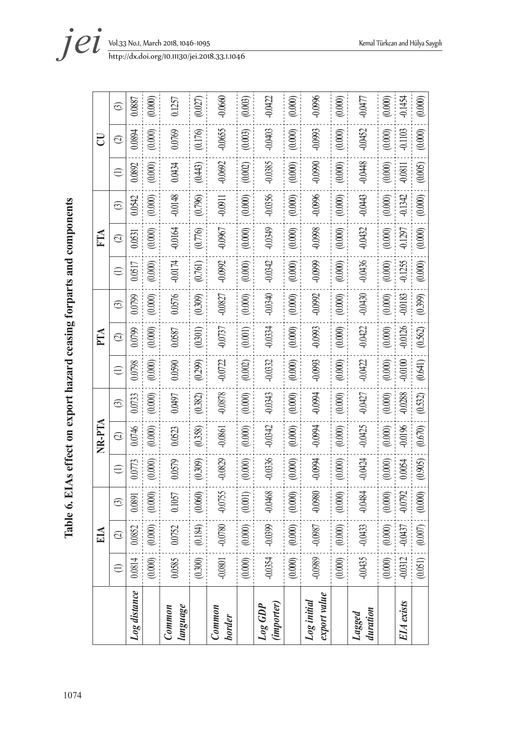Table 6. EIAs effect on export hazard ceasing forparts and components 1074**Table 6. EIAs effect on export hazard ceasing forparts and components**

 $(0.000)$  $-0.0660$  $(0.003)$  $-0.0422$  $(0.000)$  $-0.0996$  $(0.000)$  $-0.0477$ -0.1454  $(0.000)$  $0.1257$  $(0.027)$  $(0.000)$ 0.0887 (0.000) (0.000) (0.0000) (0.0000) (0.0000) (0.0000) (0.0000) (0.0000) (0.0000) (0.0000) (0.0000) (0.0000) (0.0000) (<br>(0.0000) (0.0000) (0.0000) (0.0000) (0.0000) (0.0000) (0.0000) (0.0000) (0.0000) (0.0000) (0.0000) (0.000 (0.200) (0.000) (0.209) (0.369) (0.369) (0.209) (0.3000) (0.3000) (0.3000) (0.3760) (0.3760) (0.3760) (0.0270)<br>(0.276) (0.276) (0.376) (0.299) (0.299) (0.299) (0.276) (0.3760) (0.3760) (0.3760) (0.3760) (0.3760) (0.0270) *border* -0.0801 -0.0780 -0.0755 -0.0829 -0.0861 -0.0878 -0.0722 -0.0737 -0.0827 -0.0992 -0.0967 -0.0911 -0.0692 -0.0655 -0.0660 (0.000) (0.000) (0.0000) (0.0000) (0.0000) (0.0000) (0.0000) (0.0000) (0.0000) (0.0000) (0.0000) (0.0000) (0.0000) (<br>(0.0000) (0.0000) (0.0000) (0.0000) (0.0000) (0.0000) (0.0000) (0.0000) (0.0000) (0.0000) (0.0000) (0.000 | -0.0354 -0.0354 -0.0354 -0.0468 -0.0336 -0.0332 -0.0332 -0.0332 -0.0332 -0.0342 -0.0342 -0.0356 -0.0385 -0.0385 -0.0385 -0.0356 -0.0356 -0.0356 -0.0356 -0.0356 -0.0356 -0.0356 -0.0356 -0.0356 -0.0385 -0.0385 -0.0403 -0.0 (0.000) (0.000) (0.0000) (0.0000) (0.0000) (0.0000) (0.0000) (0.0000) (0.00000) (0.0000) (0.0000) (0.0000) (0.0000) (0.0000) (0.0000) (0.0000) (0.0000) (0.0000) (0.0000) (0.0000) (0.0000) (0.0000) (0.0000) (0.0000) (0.0000 *export value* -0.0989 -0.0987 -0.0980 -0.0994 -0.0994 -0.0994 -0.0993 -0.0993 -0.0992 -0.0999 -0.0998 -0.0996 -0.0990 -0.0993 -0.0996 (0.000) (0.000) (0.0000) (0.0000) (0.0000) (0.0000) (0.0000) (0.0000) (0.0000) (0.0000) (0.0000) (0.0000) (0.0000) (<br>(0.0000) (0.0000) (0.0000) (0.0000) (0.0000) (0.0000) (0.0000) (0.0000) (0.0000) (0.0000) (0.0000) (0.000 duration<br>duration -0.0435 -0.0435 -0.0433 -0.0434 -0.0427 -0.0427 -0.0422 -0.0422 -0.0430 - 0.0430 -0.0452 -0.043<br>duration -(0.000) (0.000) (0.0000) (0.0000) (0.0000) (0.0000) (0.0000) (0.0000) (0.00000) (0.0000) (0.0000) (0.0000) (0.0000) (0.0000) (0.0000) (0.0000) (0.0000) (0.0000) (0.0000) (0.0000) (0.0000) (0.0000) (0.0000) (0.0000) (0.0000 *EIA exists* -0.0312 -0.0437 -0.0792 0.0054 -0.0196 -0.0288 -0.0100 -0.0126 -0.0183 -0.1255 -0.1297 -0.1342 -0.0811 -0.1103 -0.1454 (0.001) (0.007) (0.0000) (0.0000) (0.0000) (0.0000) (0.6550) (0.0390) (0.070) (0.070) (0.0050) (0.0000) (0.000<br>(0.0000) (0.0000) (0.0000) (0.0000) (0.0000) (0.0050) (0.000) (0.000) (0.000) (0.0000) (0.0000) (0.0000) (0.00 Log distance 0.0810 0.0810 0.0773 0.0810 0.0773 0.08100 0.09200 0.08520 0.0799 0.0799 0.0799 0.07990 0.07520 0.0<br>Log distance 0.0891 0.0782 0.074 0.074 0.079 0.079 0.079 0.079 0.079 0.079 0.079 0.079 0.079 0.079 0.079 0.07 /*language* | 0.0752 0.0752 0.0752 0.0579 0.0590 0.0590 0.0587 0.0587 0.0587 0.0587 0.0587 0.0576 | 0.0576 0.0769 0.0769 0.0769 0.0769 0.0769 0.0769 0.0769 0.0769 0.0757 0.0257 0.0257 0.0769 0.0769 0.0768 | 0.0769 0.0768  $\odot$ (1) (2) (3) (1) (2) (3) (1) (2) (3) (1) (2) (3) (1) (2) (3)  $(0.000)$ 0.0769  $(0.176)$  $-0.0655$  $(0.003)$  $-0.0403$  $(0.000)$  $-0.0993$  $(0.000)$  $-0.0452$  $(0.000)$  $-0.1103$  $(0.000)$ 0.0894  $\overline{\mathrm{C}}$ **EIA NR-PTA PTA FTA CU**  $\odot$  $-0.0448$  $-0.0692$  $-0.0385$ -0.0990  $-0.0811$  $(0.000)$  $(0.443)$  $(0.002)$  $(0.000)$  $(0.000)$  $(0.000)$  $(0.005)$ 0.0892 0.0434  $\ominus$  $-0.0148$  $-0.0356$  $-0.1342$ 0.0542  $(0.000)$  $(0.000)$  $-0.0996$  $(0.000)$  $-0.0443$  $(0.000)$  $(0.796)$  $-0.0911$  $(0.000)$  $(0.000)$  $\odot$  $-0.0349$ -0.0998  $-0.0432$  $-0.1297$  $(0.000)$  $-0.0164$  $(0.776)$ -0.0967  $(0.000)$  $(0.000)$  $(0.000)$  $(0.000)$  $(0.000)$ FTA 0.0531  $\odot$ 0.0517  $(0.000)$  $-0.0174$  $(0.761)$ -0.0992  $(0.000)$  $-0.0342$  $(0.000)$ -0.0999  $(0.000)$  $-0.0436$  $(0.000)$  $-0.1255$  $(0.000)$  $\ominus$ -0.0340  $0.0430$  $-0.0183$  $-0.0827$  $(0.000)$ -0.0992  $(0.000)$ 0.0799  $(0.000)$ 0.0576  $(0.309)$  $(0.000)$  $(0.000)$  $(0.399)$  $\odot$ -0.0334  $-0.0422$  $-0.0126$ 0.0799  $(0.000)$ 0.0587  $(0.301)$ -0.0737  $(0.001)$  $(0.000)$ -0.0993  $(0.000)$  $(0.000)$  $(0.562)$ PTA  $\odot$  $(0.000)$  $-0.0722$  $(0.002)$  $-0.0332$ -0.0993  $(0.000)$  $-0.0422$  $(0.000)$  $-0.0100$  $(0.641)$ 0.0798 0.0590  $(0.299)$  $(0.000)$  $\ominus$  $-0.0878$  $-0.0343$  $-0.0288$  $(0.000)$  $(0.000)$  $(0.000)$ -0.094  $(0.000)$  $-0.0427$  $(0.000)$  $(0.532)$ 0.0733 0.0497  $(0.382)$  $\odot$ **NR-PTA**  $-0.0342$  $-0.0425$ -0.0196 0.0746  $(0.000)$  $(0.000)$  $(0.000)$ -0.0994  $(0.000)$  $(0.000)$  $(0.670)$ 0.0523  $(0.358)$  $-0.0861$  $\odot$  $-0.0829$ -0.0336 0.0773  $(0.000)$ 0.0579  $(0.309)$  $(0.000)$  $(0.000)$ -0.0994  $(0.000)$  $-0.0424$  $(0.000)$ 0.0054  $(0.905)$  $\bigoplus$  $-0.0468$ -0.0792  $-0.0755$  $(0.000)$ -0.0484  $(0.000)$  $(0.000)$ 0.1057  $(0.060)$  $(0.001)$  $(0.000)$ -0.0980  $(0.000)$ 0.0891  $\odot$ -0.0437 -0.0780  $(0.000)$  $-0.0399$ -0.0987  $(0.000)$  $-0.0433$ 0.0852  $(0.000)$ 0.0752  $(0.184)$  $(0.000)$  $(0.000)$  $(0.007)$ EIA  $\frac{1}{2}$  $\odot$ -0.0989 -0.0435  $-0.0312$ 0.0814  $(0.000)$ 0.0585  $(0.000)$ -0.0354  $(0.000)$  $(0.000)$  $(0.000)$  $(0.051)$  $(0.300)$ -0.0801  $\ominus$ Log distance export value *Log initial Log GDP*  EIA exists language (importer) *Common Common*  duration *Lagged*  **border** 

*et b*<sub>ittp://dx.doi.org/10.11130/jei.2018.33.1.1046</sub>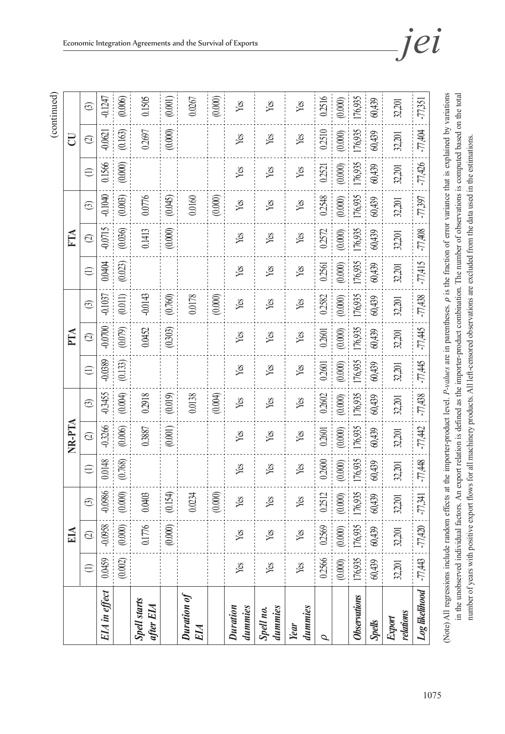| ۱ |
|---|
|   |
|   |
|   |
|   |
|   |
|   |
|   |
|   |
|   |

|                                                                                                                                                                               |           | EІА               |           |           | NR-PTA             |           |                    | PTA                |           |                 | <b>KIN</b>         |           |           | U         |           |
|-------------------------------------------------------------------------------------------------------------------------------------------------------------------------------|-----------|-------------------|-----------|-----------|--------------------|-----------|--------------------|--------------------|-----------|-----------------|--------------------|-----------|-----------|-----------|-----------|
|                                                                                                                                                                               | $\ominus$ | $\odot$           | ලි        | $\oplus$  | $\widehat{\infty}$ | $\odot$   | $\widehat{\equiv}$ | $\widehat{\infty}$ | $\odot$   | $\widehat{\Xi}$ | $\widehat{\infty}$ | $\odot$   | $\ominus$ | $\odot$   | $\odot$   |
| EIA in effect                                                                                                                                                                 | 0.0459    | 0.0958            | -0.0986   | 0.0148    | -0.3266            | -0.3455   | -0.0389            | $-0.0700$          | $-0.1037$ | <b>NNO0</b>     | $-0.0715$          | $-0.1040$ | 0.1566    | $-0.0621$ | $-0.1247$ |
|                                                                                                                                                                               | $(0.002)$ | (0.000)           | (0.000)   | (0.768)   | (0.006)            | (0.004)   | (0.133)            | (0.079)            | (0.011)   | (0.023)         | (0.036)            | (0.003)   | (0.000)   | (0.163)   | (0.006)   |
| <b>Spell starts</b><br>$after$ EIA                                                                                                                                            |           | 0.1776            | 0.0403    |           | 0.3887             | 0.2918    |                    | 0.0452             | $-0.0143$ |                 | 0.1413             | 0.0776    |           | 0.2697    | 0.1505    |
|                                                                                                                                                                               |           | (0.000)           | (0.154)   |           | (0.001)            | (0.019)   |                    | (0.303)            | (0.760)   |                 | (0.000)            | (0.045)   |           | (0.000)   | (0.001)   |
| Duration of<br>EIA                                                                                                                                                            |           |                   | 0.0234    |           |                    | 0.0138    |                    |                    | 0.0178    |                 |                    | 0.0160    |           |           | 0.0267    |
|                                                                                                                                                                               |           |                   | (0.000)   |           |                    | (0.004)   |                    |                    | (0.000)   |                 |                    | (0.000)   |           |           | (0.000)   |
| dummies<br><b>Duration</b>                                                                                                                                                    | Yes       | Yes               | Yes       | Yes       | yes                | Yes       | Yes                | Yes                | Yes       | Yes             | Yes                | Yes       | Yes       | Yes       | Yes       |
| dummies<br>Spell no.                                                                                                                                                          | Yes       | Yes               | Yes       | Yes       | Yes                | Yes       | Yes                | Yes                | Yes       | Yes             | Yes                | Yes       | Yes       | Yes       | Yes       |
| dummies<br>Year                                                                                                                                                               | Yes       | Yes               | Yes       | Yes       | Yes                | Yes       | Yes                | Yes                | Yes       | Yes             | Yes                | Yes       | Yes       | Yes       | Yes       |
| $\sigma$                                                                                                                                                                      | 0.2566    | 02569             | 0.2512    | 0.2600    | 02601              | 0.2602    | 0.2601             | 0.2601             | 0.2582    | 0.2561          | 0.2572             | 0.2548    | 0.221     | 0.2510    | 0.2516    |
|                                                                                                                                                                               | (0.000)   | (0.000)           | (0.000)   | (0.000)   | (0.000)            | (0.000)   | (0.000)            | (0.000)            | (0.000)   | (0.000)         | (0.000)            | $(0.000)$ | (0.000)   | (0.000)   | (0.000)   |
| Observations                                                                                                                                                                  |           | 176,935   176,935 | 176,935   | 176,935   | 176,935            | 176,935   | 176,935            | 176,935            | 176,935   | 176,935         | 176,935            | 176,935   | 176,935   | 176,935   | 176,935   |
| Spells                                                                                                                                                                        | 60,439    | 60,439            | 60,439    | 60,439    | 60,439             | 60,439    | 60,439             | 60,439             | 60,439    | 60,439          | 60,439             | 60,439    | 60,439    | 60,439    | 60,439    |
| relations<br>Export                                                                                                                                                           | 32,201    | 32,201            | 32,201    | 32,201    | 32,201             | 32,201    | 32,201             | 32,201             | 32,201    | 32,201          | 32,201             | 32,201    | 32,201    | 32,201    | 32,201    |
| Log likelihood                                                                                                                                                                | $-77,443$ | $-77,420$         | $-77,341$ | $-77,448$ | $-77,442$          | $-77,438$ | $-77,445$          | -77,445            | $-77,438$ | $-77,415$       | $-77,408$          | $-77,397$ | $-77,426$ | $-77,404$ | $-77,351$ |
| (Note) All regressions include random effects at the importer-product level. P-values are in parentheses, p is the fraction of error variance that is explained by variations |           |                   |           |           |                    |           |                    |                    |           |                 |                    |           |           |           |           |

1075

in the unobserved individual factors. An export relation is defined as the importer-product combination. The number of observations is computed based on the total

in the unobserved individual factors. An export relation is defined as the importer-product combination. The number of observations is computed based on the total

number of years with positive export flows for all machinery products. All left-censored observations are excluded from the data used in the estimations.

number of years with positive export flows for all machinery products. All left-censored observations are excluded from the data used in the estimations.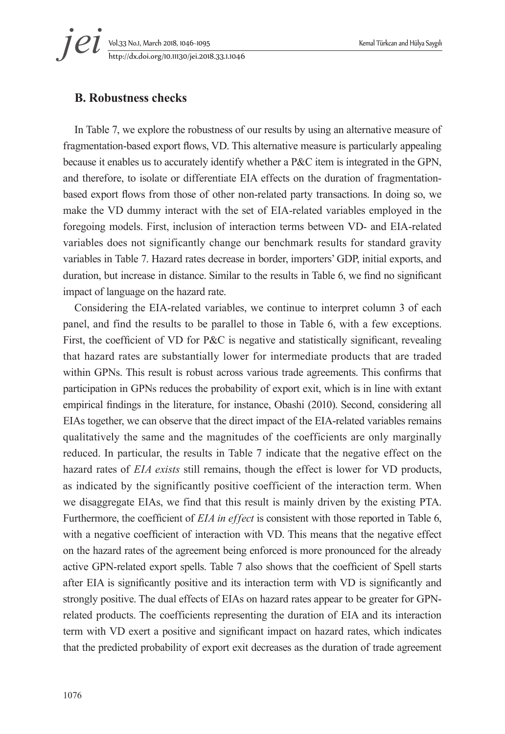# Vol.33 No.1, March 2018, 1046~1095 Kemal Türkcan and Hülya Saygılı http://dx.doi.org/10.11130/jei.2018.33.1.1046 *jei*

### **B. Robustness checks**

In Table 7, we explore the robustness of our results by using an alternative measure of fragmentation-based export flows, VD. This alternative measure is particularly appealing because it enables us to accurately identify whether a P&C item is integrated in the GPN, and therefore, to isolate or differentiate EIA effects on the duration of fragmentationbased export flows from those of other non-related party transactions. In doing so, we make the VD dummy interact with the set of EIA-related variables employed in the foregoing models. First, inclusion of interaction terms between VD- and EIA-related variables does not significantly change our benchmark results for standard gravity variables in Table 7. Hazard rates decrease in border, importers' GDP, initial exports, and duration, but increase in distance. Similar to the results in Table 6, we find no significant impact of language on the hazard rate.

Considering the EIA-related variables, we continue to interpret column 3 of each panel, and find the results to be parallel to those in Table 6, with a few exceptions. First, the coefficient of VD for P&C is negative and statistically significant, revealing that hazard rates are substantially lower for intermediate products that are traded within GPNs. This result is robust across various trade agreements. This confirms that participation in GPNs reduces the probability of export exit, which is in line with extant empirical findings in the literature, for instance, Obashi (2010). Second, considering all EIAs together, we can observe that the direct impact of the EIA-related variables remains qualitatively the same and the magnitudes of the coefficients are only marginally reduced. In particular, the results in Table 7 indicate that the negative effect on the hazard rates of *EIA exists* still remains, though the effect is lower for VD products, as indicated by the significantly positive coefficient of the interaction term. When we disaggregate EIAs, we find that this result is mainly driven by the existing PTA. Furthermore, the coefficient of *EIA in effect* is consistent with those reported in Table 6, with a negative coefficient of interaction with VD. This means that the negative effect on the hazard rates of the agreement being enforced is more pronounced for the already active GPN-related export spells. Table 7 also shows that the coefficient of Spell starts after EIA is significantly positive and its interaction term with VD is significantly and strongly positive. The dual effects of EIAs on hazard rates appear to be greater for GPNrelated products. The coefficients representing the duration of EIA and its interaction term with VD exert a positive and significant impact on hazard rates, which indicates that the predicted probability of export exit decreases as the duration of trade agreement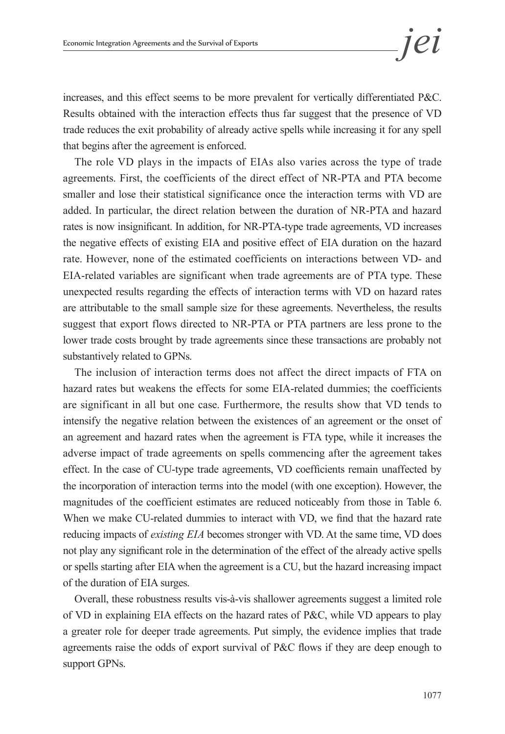increases, and this effect seems to be more prevalent for vertically differentiated P&C. Results obtained with the interaction effects thus far suggest that the presence of VD trade reduces the exit probability of already active spells while increasing it for any spell that begins after the agreement is enforced.

The role VD plays in the impacts of EIAs also varies across the type of trade agreements. First, the coefficients of the direct effect of NR-PTA and PTA become smaller and lose their statistical significance once the interaction terms with VD are added. In particular, the direct relation between the duration of NR-PTA and hazard rates is now insignificant. In addition, for NR-PTA-type trade agreements, VD increases the negative effects of existing EIA and positive effect of EIA duration on the hazard rate. However, none of the estimated coefficients on interactions between VD- and EIA-related variables are significant when trade agreements are of PTA type. These unexpected results regarding the effects of interaction terms with VD on hazard rates are attributable to the small sample size for these agreements. Nevertheless, the results suggest that export flows directed to NR-PTA or PTA partners are less prone to the lower trade costs brought by trade agreements since these transactions are probably not substantively related to GPNs.

The inclusion of interaction terms does not affect the direct impacts of FTA on hazard rates but weakens the effects for some EIA-related dummies; the coefficients are significant in all but one case. Furthermore, the results show that VD tends to intensify the negative relation between the existences of an agreement or the onset of an agreement and hazard rates when the agreement is FTA type, while it increases the adverse impact of trade agreements on spells commencing after the agreement takes effect. In the case of CU-type trade agreements, VD coefficients remain unaffected by the incorporation of interaction terms into the model (with one exception). However, the magnitudes of the coefficient estimates are reduced noticeably from those in Table 6. When we make CU-related dummies to interact with VD, we find that the hazard rate reducing impacts of *existing EIA* becomes stronger with VD. At the same time, VD does not play any significant role in the determination of the effect of the already active spells or spells starting after EIA when the agreement is a CU, but the hazard increasing impact of the duration of EIA surges.

Overall, these robustness results vis-à-vis shallower agreements suggest a limited role of VD in explaining EIA effects on the hazard rates of P&C, while VD appears to play a greater role for deeper trade agreements. Put simply, the evidence implies that trade agreements raise the odds of export survival of P&C flows if they are deep enough to support GPNs.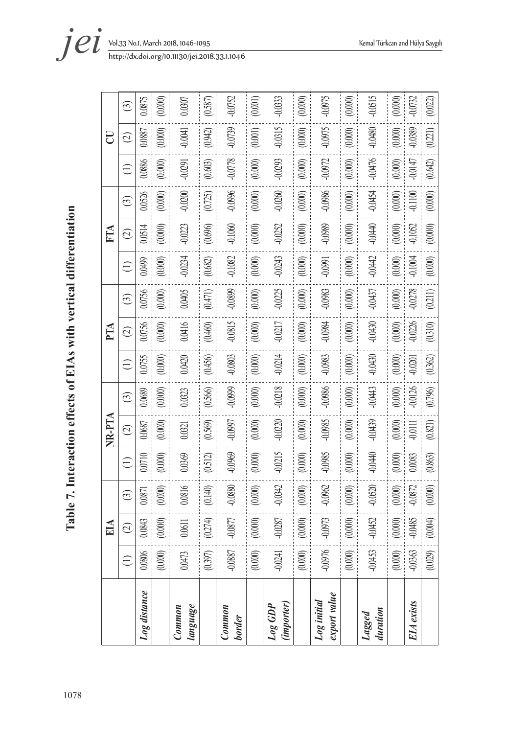Table 7. Interaction effects of EIAs with vertical differentiation 1078**Table 7. Interaction effects of EIAs with vertical differentiation** 

|                             |             | EIA       |          |             | NR-PTA        |           |             | PTA                |           |           | FTA       |           |             | U                       |                                          |
|-----------------------------|-------------|-----------|----------|-------------|---------------|-----------|-------------|--------------------|-----------|-----------|-----------|-----------|-------------|-------------------------|------------------------------------------|
|                             | $\bigoplus$ | $\odot$   | $\odot$  | $\bigoplus$ | $\widehat{c}$ | $\odot$   | $\bigoplus$ | $\widehat{\infty}$ | $\odot$   | $\ominus$ | $\odot$   | $\odot$   | $\bigoplus$ | $\widehat{\mathcal{O}}$ | $\begin{array}{c} \n\odot \n\end{array}$ |
| <b>Log</b> distance         | $0.0806$    | 0.0843    | 1,0871   | 0.0710      | 0.0687        | 0.0689    | 0.0755      | 0.0756             | 0.0756    | 0.0499    | 0.0514    | 0.0526    | 0.0886      | 0.0887                  | 0.0875                                   |
|                             | (0.000)     | (0.000)   | (0.000)  | (0.000)     | $(0.000)$     | (0.000)   | (0.000)     | (0.000)            | (0.000)   | $(0.000)$ | (0.000)   | (0.000)   | $(0.000)$   | (0.000)                 | (0.000)                                  |
| language<br>Common          | 0.0473      | $0.0611$  | 0.0816   | 0.0369      | 0.0321        | 0.0323    | 0.0420      | 0.0416             | 0.0405    | $-0.0234$ | $-0.0223$ | 0.0200    | -0.0291     | $-0.0041$               | 0.0307                                   |
|                             | (0.397)     | (0.274)   | (0.140)  | (0.512)     | (0.569)       | (0.566)   | (0.456)     | (0.460)            | (1740)    | $(0.682)$ | (0.696)   | (0.725)   | (0.603)     | (0.942)                 | (0.587)                                  |
| Common<br>border            | $-0.0887$   | $-0.0877$ | 0.0880   | 0.0969      | <b>L6600-</b> | 0.0999    | -0.0803     | 0.0815             | 0.0899    | -0.1082   | $-0.1060$ | -0.0996   | 0.0778      | 0.0739                  | 0.0752                                   |
|                             | (0.000)     | (0.000)   | (0.000)  | (0.000)     | (0.000)       | (0.000)   | $(0.000)$   | $(0.000)$          | (0.000)   | (0.000)   | (0.000)   | $(0.000)$ | $(0.000)$   | (0.001)                 | (0.001)                                  |
| (importer)<br>$Log$ $GDP$   | $-0.0241$   | $-0.0287$ | 0.0342   | $-0.0215$   | $-0.0220$     | $-0.0218$ | $-0.0214$   | $-0.0217$          | $-0.0225$ | -0.0243   | $-0.0252$ | -0.0260   | -0.0293     | $-0.0315$               | -0.0333                                  |
|                             | (0.000)     | $(0.000)$ | (0.000)  | (0.000)     | $(0.000)$     | (0.000)   | (0.000)     | (0.000)            | (0.000)   | (0.000)   | (0.000)   | (0.000)   | (0.000)     | (0.000)                 | (0.000)                                  |
| export value<br>Log initial | -0.0976     | $-0.0973$ | 0.0962   | -0.0985     | -0.0985       | -0.0986   | -0.0983     | -0.0984            | -0.0983   | $-0.0991$ | -0.0989   | -0.0986   | -0.0972     | -0.0975                 | -0.0975                                  |
|                             | (0.000)     | (0.000)   | (0.000)  | $(0.000)$   | $(0.000)$     | $(0.000)$ | $(0.000)$   | $(0.000)$          | (0.000)   | $(0.000)$ | $(0.000)$ | (0.000)   | (0.000)     | $(0.000)$               | (0.000)                                  |
| duration<br>Lagged          | -0.0453     | $-0.0452$ | 0.0520   | -0.0440     | -0.0439       | -0.0443   | 0.0430      | 0.0430             | -0.0437   | $-0.0442$ | -0.0440   | -0.0454   | -0.0476     | 0.0480                  | -0.0515                                  |
|                             | $(0.000)$   | $(0.000)$ | (0.000)  | (0.000)     | $(0.000)$     | (0.000)   | (0.000)     | (0.000)            | $(0.000)$ | (0.000)   | $(0.000)$ | (0.000)   | (0.000)     | (0.000)                 | $(0.000)$                                |
| <b>EIA</b> exists           | $-0.0363$   | $-0.0485$ | $0.0872$ | $0.0083$    | $-0.0111$     | $-0.0126$ | $-0.0201$   | $-0.0226$          | $-0.0278$ | $-0.1004$ | $-0.1052$ | $-0.1100$ | $-0.0147$   | -0.0389                 | 0.0732                                   |
|                             | (0.029)     | (0.004)   | (0.000)  | (0.863)     | (0.821)       | (0.796)   | (0.362)     | (0.310)            | (0.211)   | $(0.000)$ | (0.000)   | (0.000)   | (0.642)     | (0.221)                 | (0.022)                                  |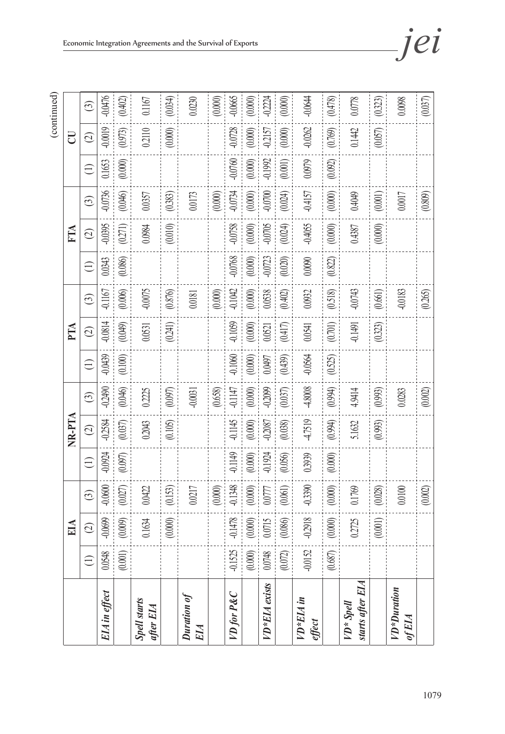(continued)

|                                  |             | EІА                |           |             | NR-PTA        |           |             | PTA                     |           |             | FTA           |           |             | U                  |           |
|----------------------------------|-------------|--------------------|-----------|-------------|---------------|-----------|-------------|-------------------------|-----------|-------------|---------------|-----------|-------------|--------------------|-----------|
|                                  | $\bigoplus$ | $\widehat{\infty}$ | $\odot$   | $\bigoplus$ | $\widehat{c}$ | $\odot$   | $\bigoplus$ | $\widehat{\mathcal{O}}$ | $\odot$   | $\bigoplus$ | $\widehat{C}$ | $\odot$   | $\bigoplus$ | $\widehat{\infty}$ | $\odot$   |
| EIA in effect                    | 0.0548      | -0.0699            | 0.0600    | $-0.0924$   | $-0.2584$     | -0.2490   | $-0.0439$   | 0.0814                  | $-0.1167$ | 0.0343      | -0.0395       | -0.0736   | 0.1653      | $-0.0019$          | -0.0476   |
|                                  | $(0.001)$   | (0.009)            | (0.027)   | (0.097)     | (0.037)       | (0.046)   | (0.100)     | (0.049)                 | (0.006)   | (0.086)     | (0271)        | (0.046)   | (0.000)     | (0.973)            | (0.402)   |
| <b>Spell starts</b><br>after EIA |             | 0.1634             | 0.0422    |             | 0.2043        | 0.2225    |             | 0.0531                  | $-0.0075$ |             | 0.0984        | 0.0357    |             | 0.2110             | 0.1167    |
|                                  |             | $(0.000)$          | (0.153)   |             | (0.105)       | $(0.097)$ |             | (0.241)                 | (0.876)   |             | (0.010)       | (0.383)   |             | $(0.000)$          | (0.034)   |
| Duration of<br>EIA               |             |                    | 0.0217    |             |               | $-0.0031$ |             |                         | 0.0181    |             |               | 0.0173    |             |                    | 0.0230    |
|                                  |             |                    | $(0.000)$ |             |               | (0.658)   |             |                         | (0.000)   |             |               | (0.000)   |             |                    | (0.000)   |
| VD for P&C                       | $-0.1525$   | 0.1478             | 0.1348    | -0.1149     | 0.1145        | 0.1147    | $-0.1060$   | 0.1059                  | $-0.1042$ | -0.0768     | $-0.0758$     | -0.0734   | 0.0760      | -0.0728            | -0.0665   |
|                                  | $(0.000)$   | (0.000)            | $(0.000)$ | $(0.000)$   | $(0.000)$     | $(0.000)$ | (0.000)     | $(0.000)$               | (0.000)   | (0.000)     | (0.000)       | (0.000)   | $(0.000)$   | (0.000)            | $(0.000)$ |
| VD*EIA exists                    | 0.0748      | 0.0715             | 0.0777    | 0.1924      | -0.2087       | 0.2099    | 0.0497      | 0.0521                  | 0.0538    | 0.0723      | -0.0705       | -0.0700   | 0.1992      | $-0.2157$          | $-0.2224$ |
|                                  | (0.072)     | (0.086)            | (0.061)   | (0.056)     | (0.038)       | (0.037)   | (0.439)     | (0.417)                 | (0.402)   | $(0.020)$   | (0.024)       | (0.024)   | $(0.001)$   | $(0.000)$          | (0.000)   |
| VD*EIA in<br>effect              | $-0.0152$   | $-0.2918$          | 0.3390    | 0.3939      | 4.7519        | 4.8008    | $-0.0564$   | 0.0541                  | 0.0932    | 0.0090      | $-0.4055$     | $-0.4157$ | 0.0979      | $-0.0262$          | $-0.0644$ |
|                                  | $(0.687)$   | $(0.000)$          | (0.000)   | $(0.000)$   | (0.994)       | (0.994)   | (0.525)     | (0.701)                 | (0.518)   | $(0.822)$   | $(0.000)$     | $(0.000)$ | $(0.092)$   | (0.769)            | (0.478)   |
| starts after EIA<br>VD* Spell    |             | 0.2725             | 0.1769    |             | 5.1632        | 4.9414    |             | 0.1491                  | $-0.0743$ |             | 0.4387        | 0.4049    |             | 0.1442             | 0.0778    |
|                                  |             | (0.001)            | (0.028)   |             | (0.993)       | (0.993)   |             | (0.323)                 | (0.661)   |             | $(0.000)$     | $(0.001)$ |             | $(0.057)$          | (0.323)   |
| VD*Duration<br>ofEIA             |             |                    | 0.0100    |             |               | 0.0283    |             |                         | -0.0183   |             |               | 0.0017    |             |                    | 0.0098    |
|                                  |             |                    | $(0.002)$ |             |               | $(0.002)$ |             |                         | (0.265)   |             |               | (0.809)   |             |                    | (0.037)   |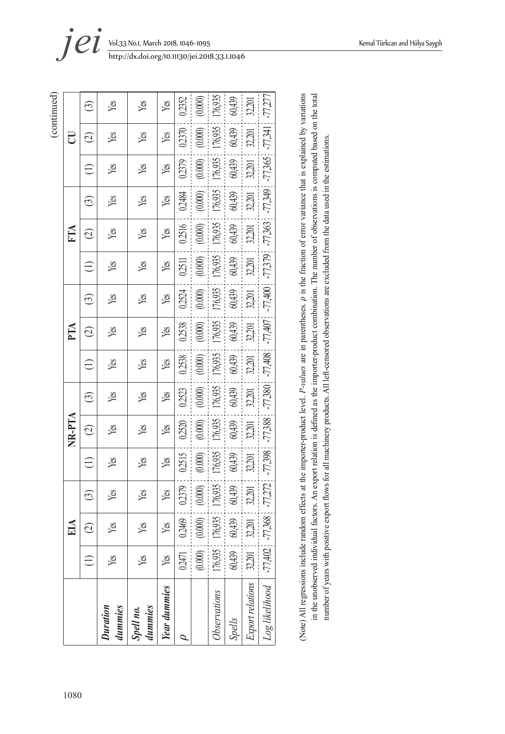|                            |            | $\mathop{\rm EIA}\nolimits$ |           |         | NR-PTA        |           |           | PTA               |           |           | FTA                           |         |           | ರ                  |           |
|----------------------------|------------|-----------------------------|-----------|---------|---------------|-----------|-----------|-------------------|-----------|-----------|-------------------------------|---------|-----------|--------------------|-----------|
|                            |            | $\widehat{\circ}$           | ල         | Ξ       | $\widehat{C}$ | ධ         | Ξ         | $\widehat{\circ}$ | ධ         | Ξ         | $\widehat{\circlearrowright}$ | ල       | Ξ         | $\widehat{\Omega}$ | ල         |
| dummies<br><b>Duration</b> | Yes        | Yes                         | Yes       | Yes     | Yes           | Yes       | Yes       | yes               | Yes       | Yes       | Yes                           | Yes     | Yes       | Xes                | Yes       |
| dummies<br>Spell no.       | Yes        | Yes                         | Yes       | Yes     | Yes           | Yes       | Yes       | Yes               | Yes       | Yes       | yes                           | Yes     | Yes       | Yes                | Yes       |
| <b>Year</b> dummies        | Yes        | Yes                         | Yes       | Yes     | Yes           | Yes       | Yes       | yes               | Yes       | Yes       | Yes                           | yes     | Yes       | Yes                | Yes       |
|                            | 0.2471     | 0.2469                      | 02379     | 0.2515  | 0.2520        | 02523     | 0.2538    | 0.2538            | 02524     | 0.2511    | 02516                         | 0.2484  | 02379     | 02370              | 02352     |
|                            | $(0.000)$  | (0.000)                     | (0.000)   | (0.000) | (0.000)       | (0.000)   | (0.000)   | (0.000)           | (0.000)   | (0.000)   | (0.000)                       | (0.000) | (0.000)   | (0.000)            | (0.000)   |
| Observations               | 176,935    | 176,935                     | 176,935   | 176,935 | 176,935       | 76,935    | 176,935   | 176,935           | 176,935   | 176,935   | 176,935                       | 176,935 | 176,935   | 176,935            | 76,935    |
| <b>Spells</b>              | 60,439     | 60,439                      | 60,439    | 60,439  | 60,439        | 60,439    | 60,439    | 60,439            | 60,439    | 60,439    | 60,439                        | 60,439  | 60,439    | 60,439             | 60,439    |
| Export relations           | $32,\!201$ | 32,201                      | 32,201    | 32,201  | 32,201        | 32,201    | 32,201    | 32,201            | 32,201    | 32,201    | 32,201                        | 32,201  | 32,201    | 32,201             | 32,201    |
| Log likelihood   -77,402   |            | 77,368                      | $-77,272$ | -77,398 | -77,388       | $-77,380$ | $-77,408$ | $-77,407$         | $-77,400$ | $-77,379$ | $-77,363$                     | 77,349  | $-77,365$ | $-77,341$          | $-77,277$ |

in the unobserved individual factors. An export relation is defined as the importer-product combination. The number of observations is computed based on the total in the unobserved individual factors. An export relation is defined as the importer-product combination. The number of observations is computed based on the total number of years with positive export flows for all machinery products. All left-censored observations are excluded from the data used in the estimations. number of years with positive export flows for all machinery products. All left-censored observations are excluded from the data used in the estimations.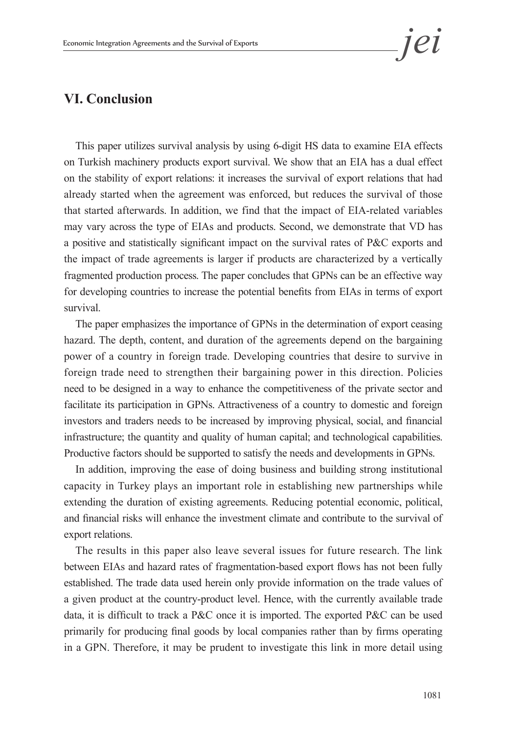# **VI. Conclusion**

This paper utilizes survival analysis by using 6-digit HS data to examine EIA effects on Turkish machinery products export survival. We show that an EIA has a dual effect on the stability of export relations: it increases the survival of export relations that had already started when the agreement was enforced, but reduces the survival of those that started afterwards. In addition, we find that the impact of EIA-related variables may vary across the type of EIAs and products. Second, we demonstrate that VD has a positive and statistically significant impact on the survival rates of P&C exports and the impact of trade agreements is larger if products are characterized by a vertically fragmented production process. The paper concludes that GPNs can be an effective way for developing countries to increase the potential benefits from EIAs in terms of export survival.

The paper emphasizes the importance of GPNs in the determination of export ceasing hazard. The depth, content, and duration of the agreements depend on the bargaining power of a country in foreign trade. Developing countries that desire to survive in foreign trade need to strengthen their bargaining power in this direction. Policies need to be designed in a way to enhance the competitiveness of the private sector and facilitate its participation in GPNs. Attractiveness of a country to domestic and foreign investors and traders needs to be increased by improving physical, social, and financial infrastructure; the quantity and quality of human capital; and technological capabilities. Productive factors should be supported to satisfy the needs and developments in GPNs.

In addition, improving the ease of doing business and building strong institutional capacity in Turkey plays an important role in establishing new partnerships while extending the duration of existing agreements. Reducing potential economic, political, and financial risks will enhance the investment climate and contribute to the survival of export relations.

The results in this paper also leave several issues for future research. The link between EIAs and hazard rates of fragmentation-based export flows has not been fully established. The trade data used herein only provide information on the trade values of a given product at the country-product level. Hence, with the currently available trade data, it is difficult to track a P&C once it is imported. The exported P&C can be used primarily for producing final goods by local companies rather than by firms operating in a GPN. Therefore, it may be prudent to investigate this link in more detail using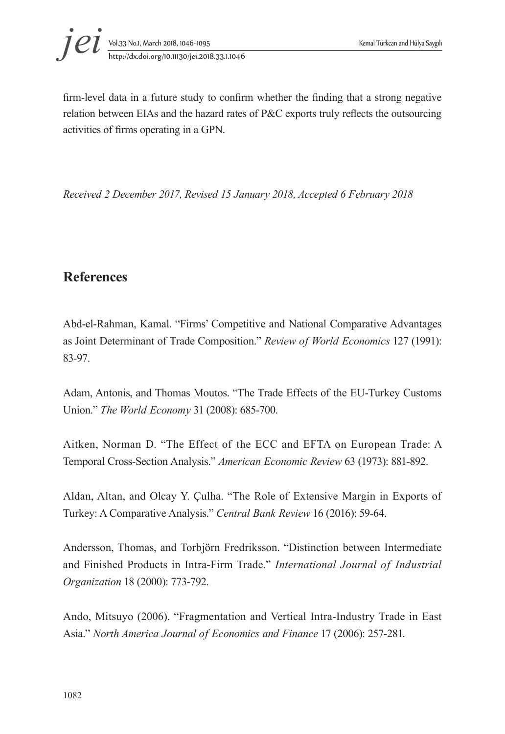

firm-level data in a future study to confirm whether the finding that a strong negative relation between EIAs and the hazard rates of P&C exports truly reflects the outsourcing activities of firms operating in a GPN.

*Received 2 December 2017, Revised 15 January 2018, Accepted 6 February 2018*

# **References**

Abd-el-Rahman, Kamal. "Firms' Competitive and National Comparative Advantages as Joint Determinant of Trade Composition." *Review of World Economics* 127 (1991): 83-97.

Adam, Antonis, and Thomas Moutos. "The Trade Effects of the EU-Turkey Customs Union." *The World Economy* 31 (2008): 685-700.

Aitken, Norman D. "The Effect of the ECC and EFTA on European Trade: A Temporal Cross-Section Analysis." *American Economic Review* 63 (1973): 881-892.

Aldan, Altan, and Olcay Y. Çulha. "The Role of Extensive Margin in Exports of Turkey: A Comparative Analysis." *Central Bank Review* 16 (2016): 59-64.

Andersson, Thomas, and Torbjörn Fredriksson. "Distinction between Intermediate and Finished Products in Intra-Firm Trade." *International Journal of Industrial Organization* 18 (2000): 773-792.

Ando, Mitsuyo (2006). "Fragmentation and Vertical Intra-Industry Trade in East Asia." *North America Journal of Economics and Finance* 17 (2006): 257-281.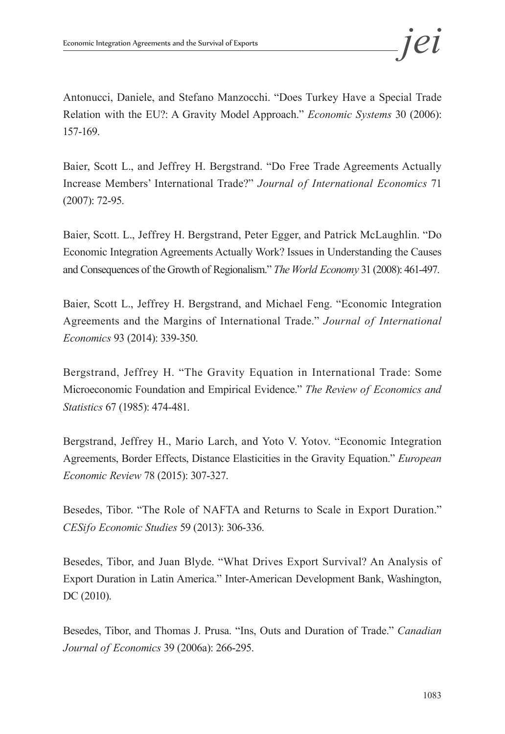Antonucci, Daniele, and Stefano Manzocchi. "Does Turkey Have a Special Trade Relation with the EU?: A Gravity Model Approach." *Economic Systems* 30 (2006): 157-169.

Baier, Scott L., and Jeffrey H. Bergstrand. "Do Free Trade Agreements Actually Increase Members' International Trade?" *Journal of International Economics* 71 (2007): 72-95.

Baier, Scott. L., Jeffrey H. Bergstrand, Peter Egger, and Patrick McLaughlin. "Do Economic Integration Agreements Actually Work? Issues in Understanding the Causes and Consequences of the Growth of Regionalism." *The World Economy* 31 (2008): 461-497.

Baier, Scott L., Jeffrey H. Bergstrand, and Michael Feng. "Economic Integration Agreements and the Margins of International Trade." *Journal of International Economics* 93 (2014): 339-350.

Bergstrand, Jeffrey H. "The Gravity Equation in International Trade: Some Microeconomic Foundation and Empirical Evidence." *The Review of Economics and Statistics* 67 (1985): 474-481.

Bergstrand, Jeffrey H., Mario Larch, and Yoto V. Yotov. "Economic Integration Agreements, Border Effects, Distance Elasticities in the Gravity Equation." *European Economic Review* 78 (2015): 307-327.

Besedes, Tibor. "The Role of NAFTA and Returns to Scale in Export Duration." *CESifo Economic Studies* 59 (2013): 306-336.

Besedes, Tibor, and Juan Blyde. "What Drives Export Survival? An Analysis of Export Duration in Latin America." Inter-American Development Bank, Washington, DC (2010).

Besedes, Tibor, and Thomas J. Prusa. "Ins, Outs and Duration of Trade." *Canadian Journal of Economics* 39 (2006a): 266-295.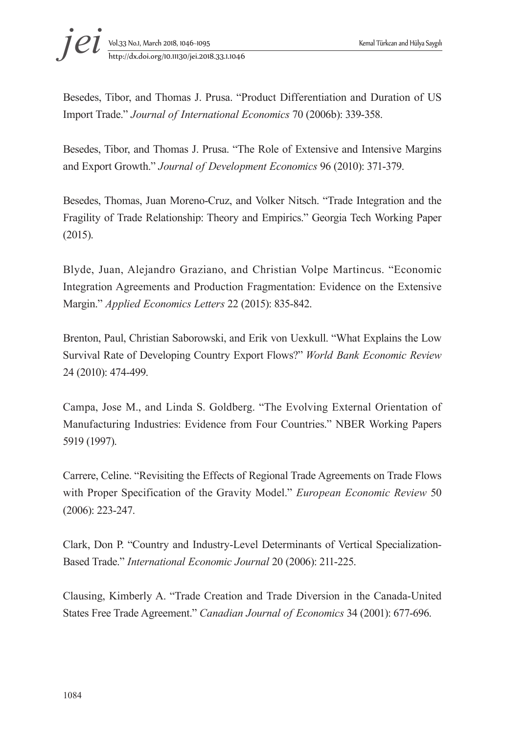

Besedes, Tibor, and Thomas J. Prusa. "Product Differentiation and Duration of US Import Trade." *Journal of International Economics* 70 (2006b): 339-358.

Besedes, Tibor, and Thomas J. Prusa. "The Role of Extensive and Intensive Margins and Export Growth." *Journal of Development Economics* 96 (2010): 371-379.

Besedes, Thomas, Juan Moreno-Cruz, and Volker Nitsch. "Trade Integration and the Fragility of Trade Relationship: Theory and Empirics." Georgia Tech Working Paper (2015).

Blyde, Juan, Alejandro Graziano, and Christian Volpe Martincus. "Economic Integration Agreements and Production Fragmentation: Evidence on the Extensive Margin." *Applied Economics Letters* 22 (2015): 835-842.

Brenton, Paul, Christian Saborowski, and Erik von Uexkull. "What Explains the Low Survival Rate of Developing Country Export Flows?" *World Bank Economic Review*  24 (2010): 474-499.

Campa, Jose M., and Linda S. Goldberg. "The Evolving External Orientation of Manufacturing Industries: Evidence from Four Countries." NBER Working Papers 5919 (1997).

Carrere, Celine. "Revisiting the Effects of Regional Trade Agreements on Trade Flows with Proper Specification of the Gravity Model." *European Economic Review* 50 (2006): 223-247.

Clark, Don P. "Country and Industry-Level Determinants of Vertical Specialization-Based Trade." *International Economic Journal* 20 (2006): 211-225.

Clausing, Kimberly A. "Trade Creation and Trade Diversion in the Canada-United States Free Trade Agreement." *Canadian Journal of Economics* 34 (2001): 677-696.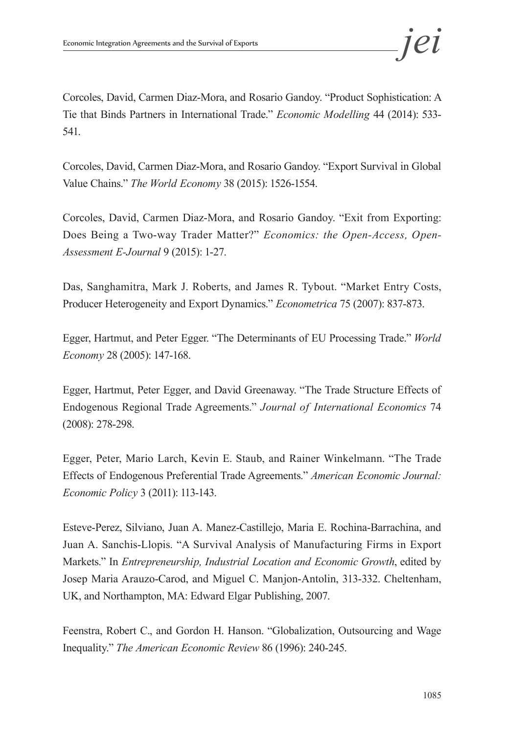Corcoles, David, Carmen Diaz-Mora, and Rosario Gandoy. "Product Sophistication: A Tie that Binds Partners in International Trade." *Economic Modelling* 44 (2014): 533- 541.

Corcoles, David, Carmen Diaz-Mora, and Rosario Gandoy. "Export Survival in Global Value Chains." *The World Economy* 38 (2015): 1526-1554.

Corcoles, David, Carmen Diaz-Mora, and Rosario Gandoy. "Exit from Exporting: Does Being a Two-way Trader Matter?" *Economics: the Open-Access, Open-Assessment E-Journal* 9 (2015): 1-27.

Das, Sanghamitra, Mark J. Roberts, and James R. Tybout. "Market Entry Costs, Producer Heterogeneity and Export Dynamics." *Econometrica* 75 (2007): 837-873.

Egger, Hartmut, and Peter Egger. "The Determinants of EU Processing Trade." *World Economy* 28 (2005): 147-168.

Egger, Hartmut, Peter Egger, and David Greenaway. "The Trade Structure Effects of Endogenous Regional Trade Agreements." *Journal of International Economics* 74 (2008): 278-298.

Egger, Peter, Mario Larch, Kevin E. Staub, and Rainer Winkelmann. "The Trade Effects of Endogenous Preferential Trade Agreements." *American Economic Journal: Economic Policy* 3 (2011): 113-143.

Esteve-Perez, Silviano, Juan A. Manez-Castillejo, Maria E. Rochina-Barrachina, and Juan A. Sanchis-Llopis. "A Survival Analysis of Manufacturing Firms in Export Markets." In *Entrepreneurship, Industrial Location and Economic Growth*, edited by Josep Maria Arauzo-Carod, and Miguel C. Manjon-Antolin, 313-332. Cheltenham, UK, and Northampton, MA: Edward Elgar Publishing, 2007.

Feenstra, Robert C., and Gordon H. Hanson. "Globalization, Outsourcing and Wage Inequality." *The American Economic Review* 86 (1996): 240-245.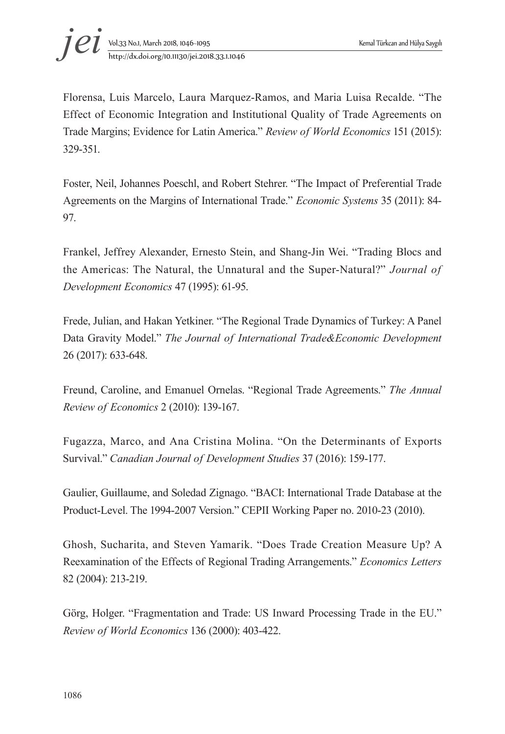

Florensa, Luis Marcelo, Laura Marquez-Ramos, and Maria Luisa Recalde. "The Effect of Economic Integration and Institutional Quality of Trade Agreements on Trade Margins; Evidence for Latin America." *Review of World Economics* 151 (2015): 329-351.

Foster, Neil, Johannes Poeschl, and Robert Stehrer. "The Impact of Preferential Trade Agreements on the Margins of International Trade." *Economic Systems* 35 (2011): 84- 97.

Frankel, Jeffrey Alexander, Ernesto Stein, and Shang-Jin Wei. "Trading Blocs and the Americas: The Natural, the Unnatural and the Super-Natural?" *Journal of Development Economics* 47 (1995): 61-95.

Frede, Julian, and Hakan Yetkiner. "The Regional Trade Dynamics of Turkey: A Panel Data Gravity Model." *The Journal of International Trade&Economic Development* 26 (2017): 633-648.

Freund, Caroline, and Emanuel Ornelas. "Regional Trade Agreements." *The Annual Review of Economics* 2 (2010): 139-167.

Fugazza, Marco, and Ana Cristina Molina. "On the Determinants of Exports Survival." *Canadian Journal of Development Studies* 37 (2016): 159-177.

Gaulier, Guillaume, and Soledad Zignago. "BACI: International Trade Database at the Product-Level. The 1994-2007 Version." CEPII Working Paper no. 2010-23 (2010).

Ghosh, Sucharita, and Steven Yamarik. "Does Trade Creation Measure Up? A Reexamination of the Effects of Regional Trading Arrangements." *Economics Letters*  82 (2004): 213-219.

Görg, Holger. "Fragmentation and Trade: US Inward Processing Trade in the EU." *Review of World Economics* 136 (2000): 403-422.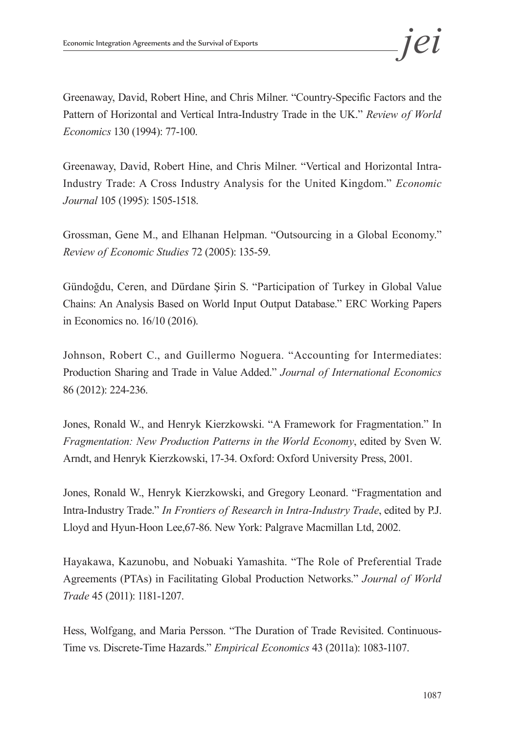Greenaway, David, Robert Hine, and Chris Milner. "Country-Specific Factors and the Pattern of Horizontal and Vertical Intra-Industry Trade in the UK." *Review of World Economics* 130 (1994): 77-100.

Greenaway, David, Robert Hine, and Chris Milner. "Vertical and Horizontal Intra-Industry Trade: A Cross Industry Analysis for the United Kingdom." *Economic Journal* 105 (1995): 1505-1518.

Grossman, Gene M., and Elhanan Helpman. "Outsourcing in a Global Economy." *Review of Economic Studies* 72 (2005): 135-59.

Gündoğdu, Ceren, and Dürdane Şirin S. "Participation of Turkey in Global Value Chains: An Analysis Based on World Input Output Database." ERC Working Papers in Economics no. 16/10 (2016).

Johnson, Robert C., and Guillermo Noguera. "Accounting for Intermediates: Production Sharing and Trade in Value Added." *Journal of International Economics* 86 (2012): 224-236.

Jones, Ronald W., and Henryk Kierzkowski. "A Framework for Fragmentation." In *Fragmentation: New Production Patterns in the World Economy*, edited by Sven W. Arndt, and Henryk Kierzkowski, 17-34. Oxford: Oxford University Press, 2001.

Jones, Ronald W., Henryk Kierzkowski, and Gregory Leonard. "Fragmentation and Intra-Industry Trade." *In Frontiers of Research in Intra-Industry Trade*, edited by P.J. Lloyd and Hyun-Hoon Lee,67-86. New York: Palgrave Macmillan Ltd, 2002.

Hayakawa, Kazunobu, and Nobuaki Yamashita. "The Role of Preferential Trade Agreements (PTAs) in Facilitating Global Production Networks." *Journal of World Trade* 45 (2011): 1181-1207.

Hess, Wolfgang, and Maria Persson. "The Duration of Trade Revisited. Continuous-Time vs. Discrete-Time Hazards." *Empirical Economics* 43 (2011a): 1083-1107.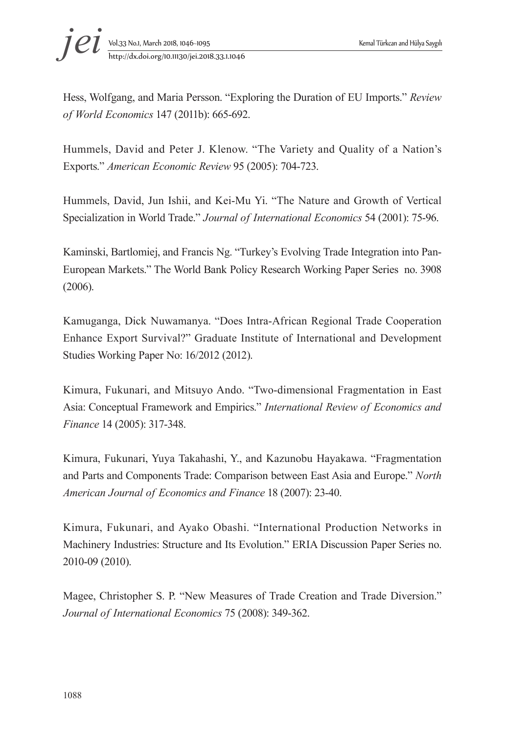

Hess, Wolfgang, and Maria Persson. "Exploring the Duration of EU Imports." *Review of World Economics* 147 (2011b): 665-692.

Hummels, David and Peter J. Klenow. "The Variety and Quality of a Nation's Exports." *American Economic Review* 95 (2005): 704-723.

Hummels, David, Jun Ishii, and Kei-Mu Yi. "The Nature and Growth of Vertical Specialization in World Trade." *Journal of International Economics* 54 (2001): 75-96.

Kaminski, Bartlomiej, and Francis Ng. "Turkey's Evolving Trade Integration into Pan-European Markets." The World Bank Policy Research Working Paper Series no. 3908 (2006).

Kamuganga, Dick Nuwamanya. "Does Intra-African Regional Trade Cooperation Enhance Export Survival?" Graduate Institute of International and Development Studies Working Paper No: 16/2012 (2012).

Kimura, Fukunari, and Mitsuyo Ando. "Two-dimensional Fragmentation in East Asia: Conceptual Framework and Empirics." *International Review of Economics and Finance* 14 (2005): 317-348.

Kimura, Fukunari, Yuya Takahashi, Y., and Kazunobu Hayakawa. "Fragmentation and Parts and Components Trade: Comparison between East Asia and Europe." *North American Journal of Economics and Finance* 18 (2007): 23-40.

Kimura, Fukunari, and Ayako Obashi. "International Production Networks in Machinery Industries: Structure and Its Evolution." ERIA Discussion Paper Series no. 2010-09 (2010).

Magee, Christopher S. P. "New Measures of Trade Creation and Trade Diversion." *Journal of International Economics* 75 (2008): 349-362.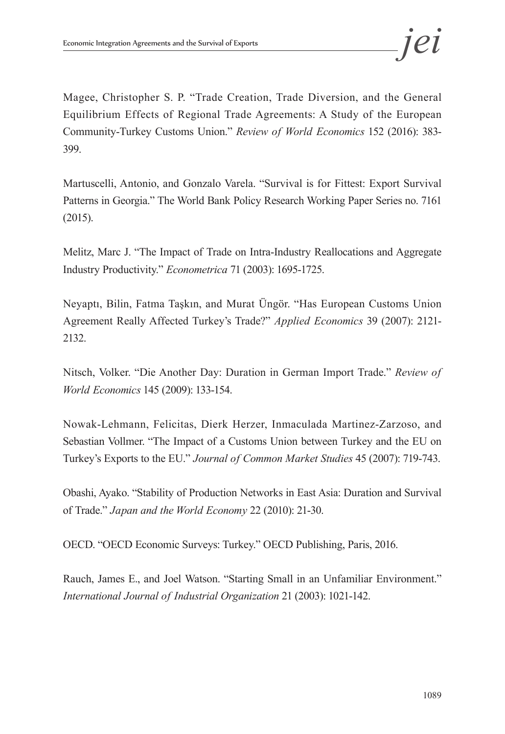Magee, Christopher S. P. "Trade Creation, Trade Diversion, and the General Equilibrium Effects of Regional Trade Agreements: A Study of the European Community-Turkey Customs Union." *Review of World Economics* 152 (2016): 383- 399.

Martuscelli, Antonio, and Gonzalo Varela. "Survival is for Fittest: Export Survival Patterns in Georgia." The World Bank Policy Research Working Paper Series no. 7161 (2015).

Melitz, Marc J. "The Impact of Trade on Intra-Industry Reallocations and Aggregate Industry Productivity." *Econometrica* 71 (2003): 1695-1725.

Neyaptı, Bilin, Fatma Taşkın, and Murat Üngör. "Has European Customs Union Agreement Really Affected Turkey's Trade?" *Applied Economics* 39 (2007): 2121- 2132.

Nitsch, Volker. "Die Another Day: Duration in German Import Trade." *Review of World Economics* 145 (2009): 133-154.

Nowak-Lehmann, Felicitas, Dierk Herzer, Inmaculada Martinez-Zarzoso, and Sebastian Vollmer. "The Impact of a Customs Union between Turkey and the EU on Turkey's Exports to the EU." *Journal of Common Market Studies* 45 (2007): 719-743.

Obashi, Ayako. "Stability of Production Networks in East Asia: Duration and Survival of Trade." *Japan and the World Economy* 22 (2010): 21-30.

OECD. "OECD Economic Surveys: Turkey." OECD Publishing, Paris, 2016.

Rauch, James E., and Joel Watson. "Starting Small in an Unfamiliar Environment." *International Journal of Industrial Organization* 21 (2003): 1021-142.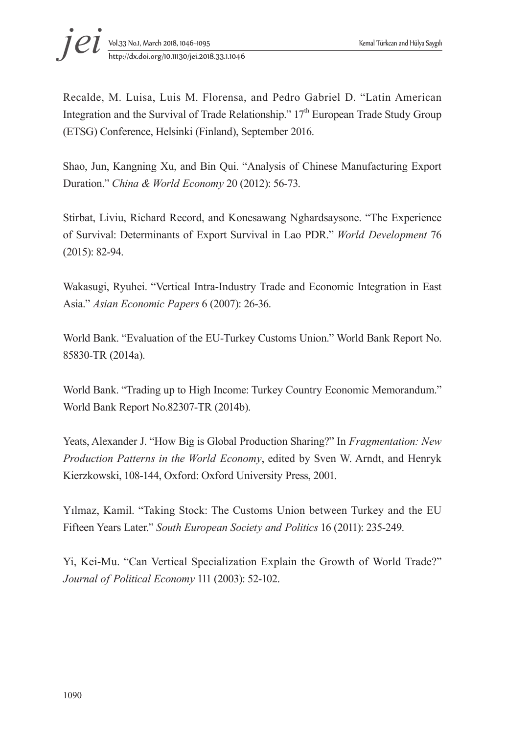

Recalde, M. Luisa, Luis M. Florensa, and Pedro Gabriel D. "Latin American Integration and the Survival of Trade Relationship."  $17<sup>th</sup>$  European Trade Study Group (ETSG) Conference, Helsinki (Finland), September 2016.

Shao, Jun, Kangning Xu, and Bin Qui. "Analysis of Chinese Manufacturing Export Duration." *China & World Economy* 20 (2012): 56-73.

Stirbat, Liviu, Richard Record, and Konesawang Nghardsaysone. "The Experience of Survival: Determinants of Export Survival in Lao PDR." *World Development* 76 (2015): 82-94.

Wakasugi, Ryuhei. "Vertical Intra-Industry Trade and Economic Integration in East Asia." *Asian Economic Papers* 6 (2007): 26-36.

World Bank. "Evaluation of the EU-Turkey Customs Union." World Bank Report No. 85830-TR (2014a).

World Bank. "Trading up to High Income: Turkey Country Economic Memorandum." World Bank Report No.82307-TR (2014b).

Yeats, Alexander J. "How Big is Global Production Sharing?" In *Fragmentation: New Production Patterns in the World Economy*, edited by Sven W. Arndt, and Henryk Kierzkowski, 108-144, Oxford: Oxford University Press, 2001.

Yılmaz, Kamil. "Taking Stock: The Customs Union between Turkey and the EU Fifteen Years Later." *South European Society and Politics* 16 (2011): 235-249.

Yi, Kei-Mu. "Can Vertical Specialization Explain the Growth of World Trade?" *Journal of Political Economy* 111 (2003): 52-102.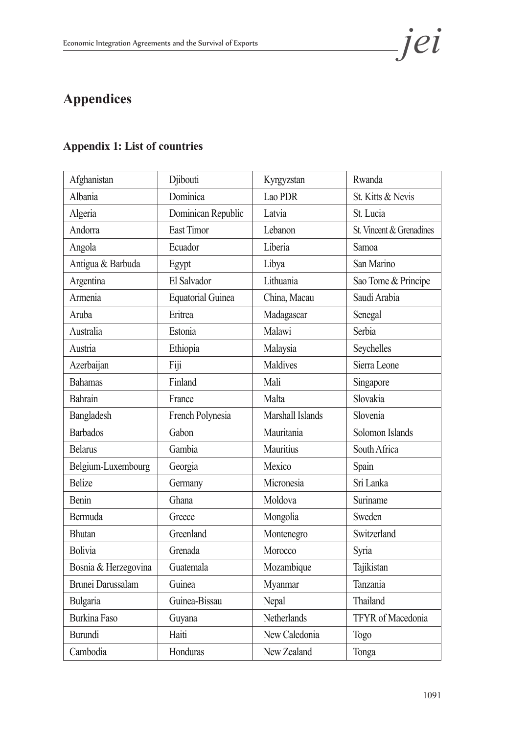

# **Appendices**

# **Appendix 1: List of countries**

| Afghanistan              | Djibouti                 | Kyrgyzstan         | Rwanda                   |
|--------------------------|--------------------------|--------------------|--------------------------|
| Albania                  | Dominica                 | Lao PDR            | St. Kitts & Nevis        |
| Algeria                  | Dominican Republic       | Latvia             | St. Lucia                |
| Andorra                  | <b>East Timor</b>        | Lebanon            | St. Vincent & Grenadines |
| Angola                   | Ecuador                  | Liberia            | Samoa                    |
| Antigua & Barbuda        | Egypt                    | Libya              | San Marino               |
| Argentina                | El Salvador              | Lithuania          | Sao Tome & Principe      |
| Armenia                  | <b>Equatorial Guinea</b> | China, Macau       | Saudi Arabia             |
| Aruba                    | Eritrea                  | Madagascar         | Senegal                  |
| Australia                | Estonia                  | Malawi             | Serbia                   |
| Austria                  | Ethiopia                 | Malaysia           | Seychelles               |
| Azerbaijan               | Fiji                     | Maldives           | Sierra Leone             |
| <b>Bahamas</b>           | Finland                  | Mali               | Singapore                |
| Bahrain                  | France                   | Malta              | Slovakia                 |
| Bangladesh               | French Polynesia         | Marshall Islands   | Slovenia                 |
| <b>Barbados</b>          | Gabon                    | Mauritania         | Solomon Islands          |
| <b>Belarus</b>           | Gambia                   | Mauritius          | South Africa             |
| Belgium-Luxembourg       | Georgia                  | Mexico             | Spain                    |
| <b>Belize</b>            | Germany                  | Micronesia         | Sri Lanka                |
| Benin                    | Ghana                    | Moldova            | Suriname                 |
| Bermuda                  | Greece                   | Mongolia           | Sweden                   |
| <b>Bhutan</b>            | Greenland                | Montenegro         | Switzerland              |
| <b>Bolivia</b>           | Grenada                  | Morocco            | Syria                    |
| Bosnia & Herzegovina     | Guatemala                | Mozambique         | Tajikistan               |
| <b>Brunei Darussalam</b> | Guinea                   | Myanmar            | Tanzania                 |
| Bulgaria                 | Guinea-Bissau            | Nepal              | Thailand                 |
| <b>Burkina Faso</b>      | Guyana                   | <b>Netherlands</b> | TFYR of Macedonia        |
| Burundi                  | Haiti                    | New Caledonia      | Togo                     |
| Cambodia                 | Honduras                 | New Zealand        | Tonga                    |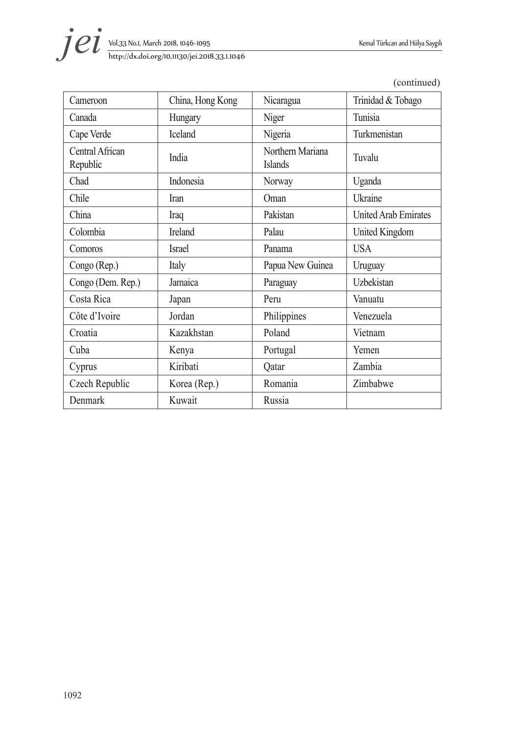

| http://dx.doi.org/10.11130/jei.2018.33.1.1046 |  |
|-----------------------------------------------|--|
|                                               |  |

| Cameroon                    | China, Hong Kong | Nicaragua                          | Trinidad & Tobago           |
|-----------------------------|------------------|------------------------------------|-----------------------------|
| Canada                      | Hungary          | Niger                              | Tunisia                     |
| Cape Verde                  | Iceland          | Nigeria                            | Turkmenistan                |
| Central African<br>Republic | India            | Northern Mariana<br><b>Islands</b> | Tuvalu                      |
| Chad                        | Indonesia        | Norway                             | Uganda                      |
| Chile                       | Iran             | Oman                               | Ukraine                     |
| China                       | Iraq             | Pakistan                           | <b>United Arab Emirates</b> |
| Colombia                    | Ireland          | Palau                              | <b>United Kingdom</b>       |
| Comoros                     | <b>Israel</b>    | Panama                             | <b>USA</b>                  |
| Congo (Rep.)                | Italy            | Papua New Guinea                   | Uruguay                     |
| Congo (Dem. Rep.)           | Jamaica          | Paraguay                           | Uzbekistan                  |
| Costa Rica                  | Japan            | Peru                               | Vanuatu                     |
| Côte d'Ivoire               | Jordan           | Philippines                        | Venezuela                   |
| Croatia                     | Kazakhstan       | Poland                             | Vietnam                     |
| Cuba                        | Kenya            | Portugal                           | Yemen                       |
| Cyprus                      | Kiribati         | Qatar                              | Zambia                      |
| Czech Republic              | Korea (Rep.)     | Romania                            | Zimbabwe                    |
| Denmark                     | Kuwait           | Russia                             |                             |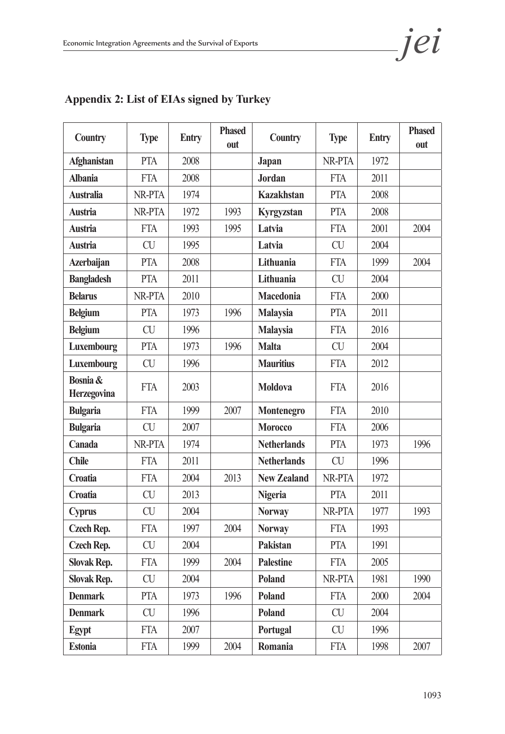| <b>Country</b>                 | <b>Type</b> | <b>Entry</b> | <b>Phased</b><br>out | Country            | <b>Type</b> | <b>Entry</b> | <b>Phased</b><br>out |
|--------------------------------|-------------|--------------|----------------------|--------------------|-------------|--------------|----------------------|
| <b>Afghanistan</b>             | <b>PTA</b>  | 2008         |                      | Japan              | NR-PTA      | 1972         |                      |
| <b>Albania</b>                 | <b>FTA</b>  | 2008         |                      | <b>Jordan</b>      | <b>FTA</b>  | 2011         |                      |
| <b>Australia</b>               | NR-PTA      | 1974         |                      | <b>Kazakhstan</b>  | <b>PTA</b>  | 2008         |                      |
| <b>Austria</b>                 | NR-PTA      | 1972         | 1993                 | Kyrgyzstan         | <b>PTA</b>  | 2008         |                      |
| <b>Austria</b>                 | <b>FTA</b>  | 1993         | 1995                 | Latvia             | <b>FTA</b>  | 2001         | 2004                 |
| <b>Austria</b>                 | <b>CU</b>   | 1995         |                      | Latvia             | <b>CU</b>   | 2004         |                      |
| <b>Azerbaijan</b>              | <b>PTA</b>  | 2008         |                      | Lithuania          | <b>FTA</b>  | 1999         | 2004                 |
| <b>Bangladesh</b>              | <b>PTA</b>  | 2011         |                      | Lithuania          | <b>CU</b>   | 2004         |                      |
| <b>Belarus</b>                 | NR-PTA      | 2010         |                      | <b>Macedonia</b>   | <b>FTA</b>  | 2000         |                      |
| <b>Belgium</b>                 | <b>PTA</b>  | 1973         | 1996                 | <b>Malaysia</b>    | <b>PTA</b>  | 2011         |                      |
| <b>Belgium</b>                 | <b>CU</b>   | 1996         |                      | <b>Malaysia</b>    | <b>FTA</b>  | 2016         |                      |
| Luxembourg                     | <b>PTA</b>  | 1973         | 1996                 | <b>Malta</b>       | <b>CU</b>   | 2004         |                      |
| Luxembourg                     | CU          | 1996         |                      | <b>Mauritius</b>   | <b>FTA</b>  | 2012         |                      |
| Bosnia &<br><b>Herzegovina</b> | <b>FTA</b>  | 2003         |                      | <b>Moldova</b>     | <b>FTA</b>  | 2016         |                      |
| <b>Bulgaria</b>                | <b>FTA</b>  | 1999         | 2007                 | Montenegro         | <b>FTA</b>  | 2010         |                      |
| <b>Bulgaria</b>                | <b>CU</b>   | 2007         |                      | <b>Morocco</b>     | <b>FTA</b>  | 2006         |                      |
| Canada                         | NR-PTA      | 1974         |                      | <b>Netherlands</b> | <b>PTA</b>  | 1973         | 1996                 |
| <b>Chile</b>                   | <b>FTA</b>  | 2011         |                      | <b>Netherlands</b> | <b>CU</b>   | 1996         |                      |
| Croatia                        | <b>FTA</b>  | 2004         | 2013                 | <b>New Zealand</b> | NR-PTA      | 1972         |                      |
| Croatia                        | <b>CU</b>   | 2013         |                      | <b>Nigeria</b>     | <b>PTA</b>  | 2011         |                      |
| <b>Cyprus</b>                  | <b>CU</b>   | 2004         |                      | <b>Norway</b>      | NR-PTA      | 1977         | 1993                 |
| <b>Czech Rep.</b>              | <b>FTA</b>  | 1997         | 2004                 | <b>Norway</b>      | <b>FTA</b>  | 1993         |                      |
| <b>Czech Rep.</b>              | CU          | 2004         |                      | Pakistan           | <b>PTA</b>  | 1991         |                      |
| <b>Slovak Rep.</b>             | <b>FTA</b>  | 1999         | 2004                 | <b>Palestine</b>   | <b>FTA</b>  | 2005         |                      |
| <b>Slovak Rep.</b>             | <b>CU</b>   | 2004         |                      | Poland             | NR-PTA      | 1981         | 1990                 |
| <b>Denmark</b>                 | PTA         | 1973         | 1996                 | Poland             | <b>FTA</b>  | 2000         | 2004                 |
| <b>Denmark</b>                 | <b>CU</b>   | 1996         |                      | Poland             | <b>CU</b>   | 2004         |                      |
| Egypt                          | <b>FTA</b>  | 2007         |                      | Portugal           | <b>CU</b>   | 1996         |                      |
| <b>Estonia</b>                 | <b>FTA</b>  | 1999         | 2004                 | Romania            | <b>FTA</b>  | 1998         | 2007                 |

# **Appendix 2: List of EIAs signed by Turkey**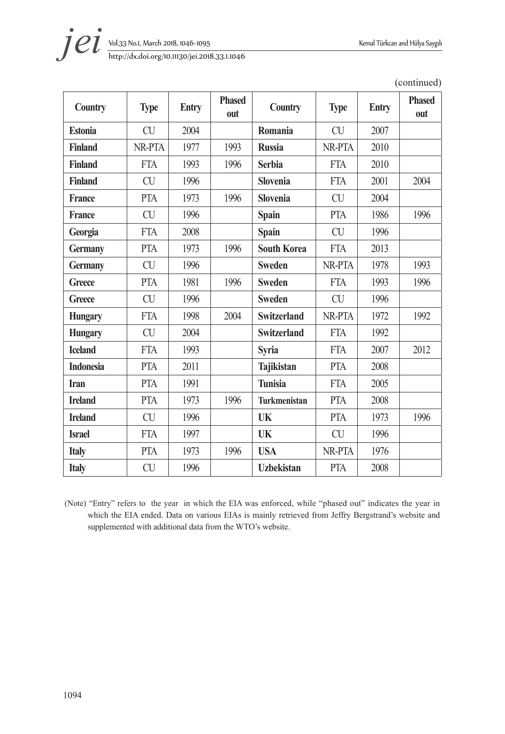

| <b>Country</b>   | <b>Type</b> | <b>Entry</b> | <b>Phased</b><br>out | Country             | <b>Type</b> | <b>Entry</b> | <b>Phased</b><br>out |
|------------------|-------------|--------------|----------------------|---------------------|-------------|--------------|----------------------|
| <b>Estonia</b>   | <b>CU</b>   | 2004         |                      | Romania             | <b>CU</b>   | 2007         |                      |
| <b>Finland</b>   | NR-PTA      | 1977         | 1993                 | <b>Russia</b>       | NR-PTA      | 2010         |                      |
| <b>Finland</b>   | FTA         | 1993         | 1996                 | <b>Serbia</b>       | <b>FTA</b>  | 2010         |                      |
| <b>Finland</b>   | CU          | 1996         |                      | <b>Slovenia</b>     | <b>FTA</b>  | 2001         | 2004                 |
| <b>France</b>    | PTA         | 1973         | 1996                 | <b>Slovenia</b>     | CU          | 2004         |                      |
| <b>France</b>    | <b>CU</b>   | 1996         |                      | <b>Spain</b>        | <b>PTA</b>  | 1986         | 1996                 |
| Georgia          | <b>FTA</b>  | 2008         |                      | <b>Spain</b>        | <b>CU</b>   | 1996         |                      |
| <b>Germany</b>   | PTA         | 1973         | 1996                 | <b>South Korea</b>  | <b>FTA</b>  | 2013         |                      |
| <b>Germany</b>   | CU          | 1996         |                      | <b>Sweden</b>       | NR-PTA      | 1978         | 1993                 |
| Greece           | PTA         | 1981         | 1996                 | <b>Sweden</b>       | <b>FTA</b>  | 1993         | 1996                 |
| <b>Greece</b>    | <b>CU</b>   | 1996         |                      | <b>Sweden</b>       | <b>CU</b>   | 1996         |                      |
| <b>Hungary</b>   | <b>FTA</b>  | 1998         | 2004                 | <b>Switzerland</b>  | NR-PTA      | 1972         | 1992                 |
| <b>Hungary</b>   | CU          | 2004         |                      | <b>Switzerland</b>  | <b>FTA</b>  | 1992         |                      |
| <b>Iceland</b>   | <b>FTA</b>  | 1993         |                      | <b>Syria</b>        | <b>FTA</b>  | 2007         | 2012                 |
| <b>Indonesia</b> | <b>PTA</b>  | 2011         |                      | <b>Tajikistan</b>   | <b>PTA</b>  | 2008         |                      |
| <b>Iran</b>      | <b>PTA</b>  | 1991         |                      | <b>Tunisia</b>      | <b>FTA</b>  | 2005         |                      |
| <b>Ireland</b>   | PTA         | 1973         | 1996                 | <b>Turkmenistan</b> | <b>PTA</b>  | 2008         |                      |

(continued)

(Note) "Entry" refers to the year in which the EIA was enforced, while "phased out" indicates the year in which the EIA ended. Data on various EIAs is mainly retrieved from Jeffry Bergstrand's website and supplemented with additional data from the WTO's website.

**Ireland** CU 1996 **UK** PTA 1973 1996

**Israel** FTA 1997 **UK** CU 1996 **Italy** PTA 1973 1996 **USA** NR-PTA 1976 **Italy** CU 1996 **Uzbekistan** PTA 2008